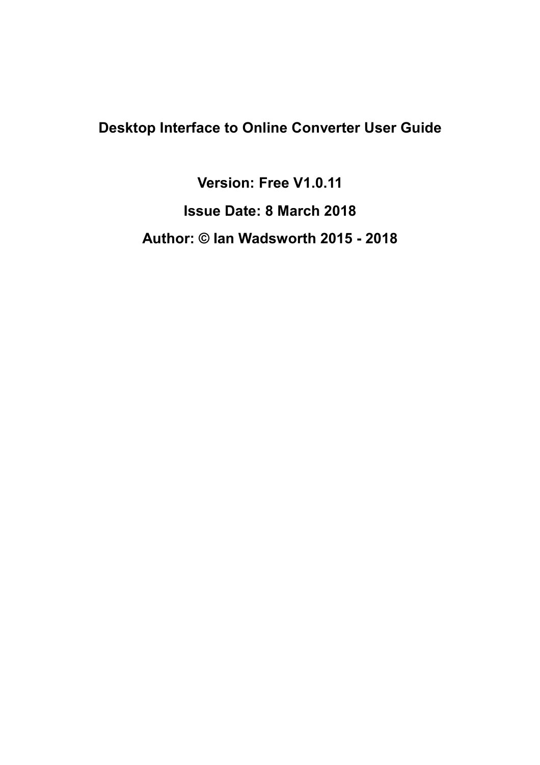### **Desktop Interface to Online Converter User Guide**

**Version: Free V1.0.11 Issue Date: 8 March 2018 Author: © Ian Wadsworth 2015 - 2018**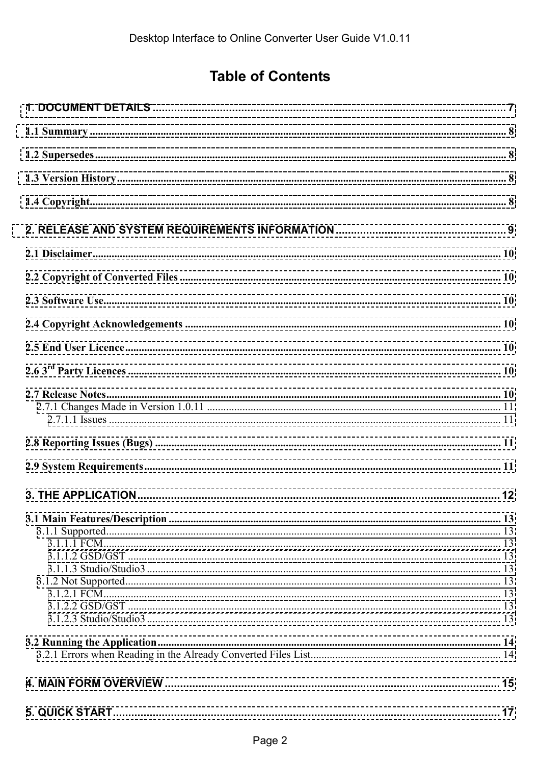### **Table of Contents**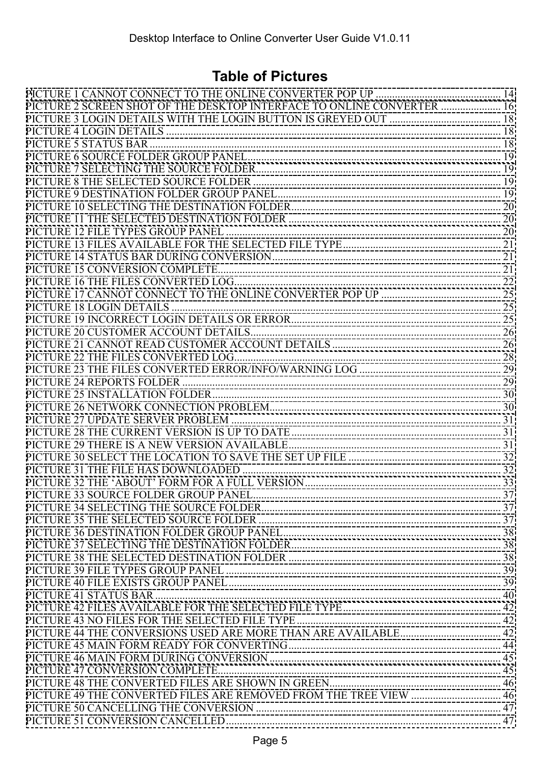### **Table of Pictures**

| PICTURE 2 SCREEN SHOT OF THE DESKTOP INTERFACE TO ONLINE CONVERTER  16 |  |
|------------------------------------------------------------------------|--|
|                                                                        |  |
|                                                                        |  |
|                                                                        |  |
|                                                                        |  |
|                                                                        |  |
|                                                                        |  |
|                                                                        |  |
|                                                                        |  |
|                                                                        |  |
|                                                                        |  |
|                                                                        |  |
|                                                                        |  |
|                                                                        |  |
|                                                                        |  |
|                                                                        |  |
|                                                                        |  |
|                                                                        |  |
|                                                                        |  |
|                                                                        |  |
|                                                                        |  |
|                                                                        |  |
|                                                                        |  |
|                                                                        |  |
|                                                                        |  |
|                                                                        |  |
|                                                                        |  |
|                                                                        |  |
|                                                                        |  |
|                                                                        |  |
|                                                                        |  |
|                                                                        |  |
|                                                                        |  |
|                                                                        |  |
|                                                                        |  |
|                                                                        |  |
|                                                                        |  |
|                                                                        |  |
|                                                                        |  |
|                                                                        |  |
|                                                                        |  |
|                                                                        |  |
|                                                                        |  |
|                                                                        |  |
|                                                                        |  |
|                                                                        |  |
|                                                                        |  |
|                                                                        |  |
|                                                                        |  |
|                                                                        |  |
|                                                                        |  |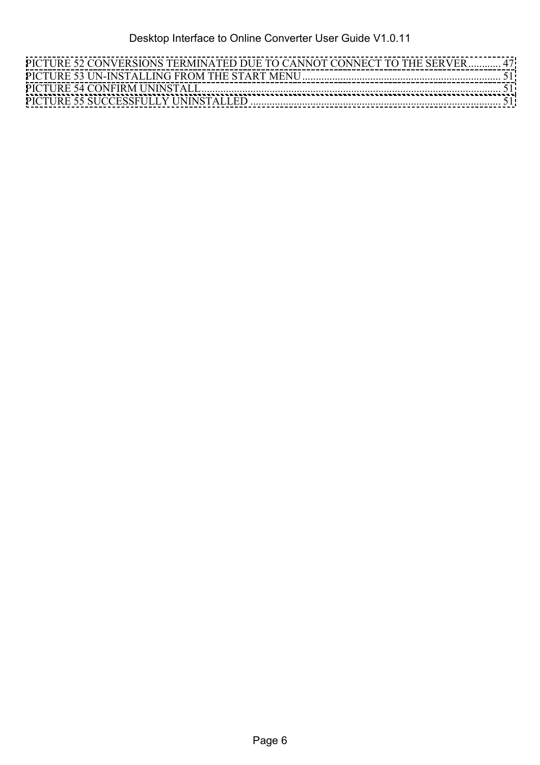| PICTURE 52 CONVERSIONS TERMINATED DUE TO CANNOT CONNECT TO THE SERVER  47 |  |
|---------------------------------------------------------------------------|--|
|                                                                           |  |
|                                                                           |  |
|                                                                           |  |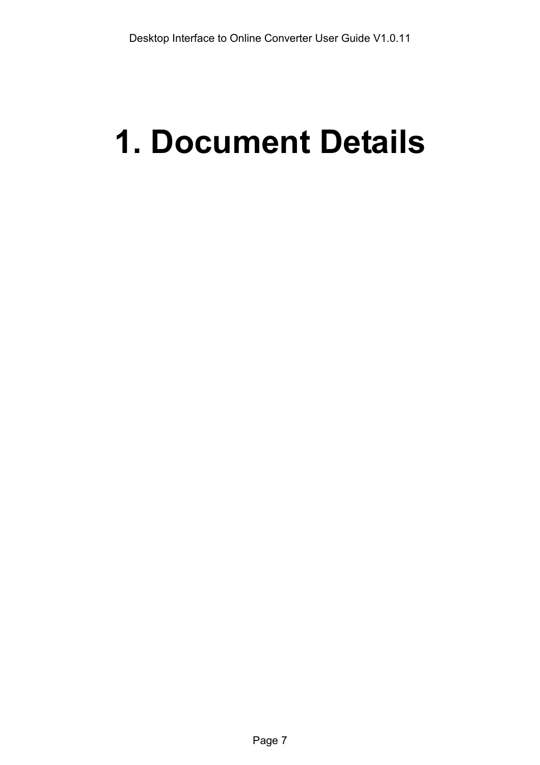# <span id="page-6-0"></span>**1. Document Details**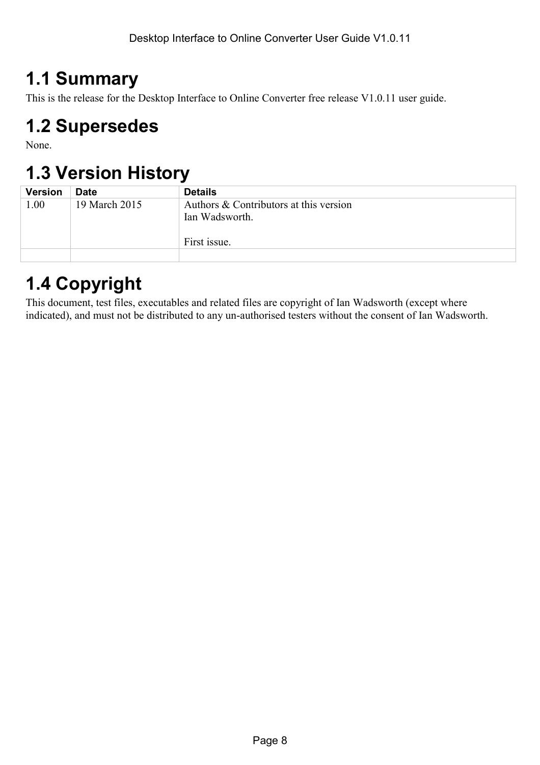## <span id="page-7-0"></span>**1.1 Summary**

This is the release for the Desktop Interface to Online Converter free release V1.0.11 user guide.

# **1.2 Supersedes**

None.

# **1.3 Version History**

| <b>Version</b> | <b>Date</b>   | <b>Details</b>                         |
|----------------|---------------|----------------------------------------|
| 1.00           | 19 March 2015 | Authors & Contributors at this version |
|                |               | Ian Wadsworth.                         |
|                |               |                                        |
|                |               | First issue.                           |
|                |               |                                        |

# **1.4 Copyright**

This document, test files, executables and related files are copyright of Ian Wadsworth (except where indicated), and must not be distributed to any un-authorised testers without the consent of Ian Wadsworth.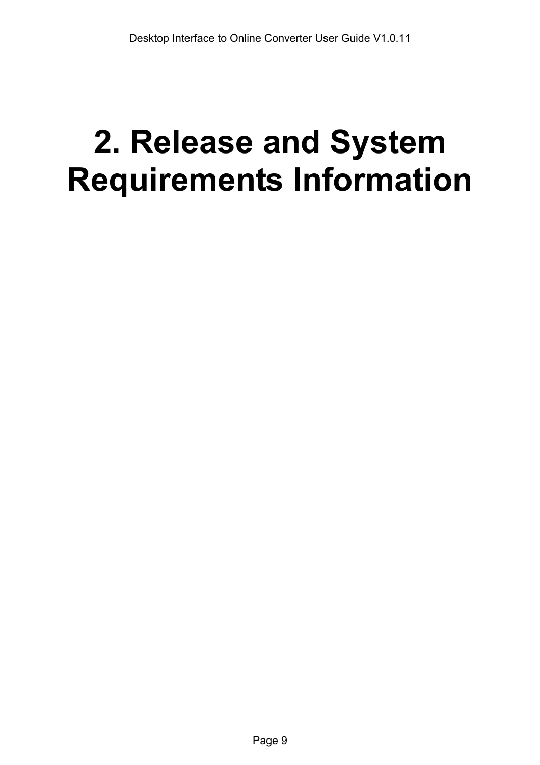# <span id="page-8-0"></span>**2. Release and System Requirements Information**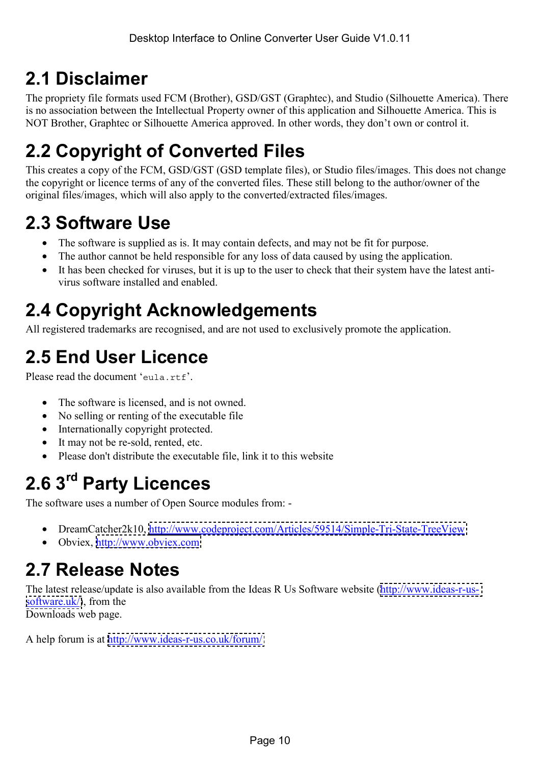# <span id="page-9-0"></span>**2.1 Disclaimer**

The propriety file formats used FCM (Brother), GSD/GST (Graphtec), and Studio (Silhouette America). There is no association between the Intellectual Property owner of this application and Silhouette America. This is NOT Brother, Graphtec or Silhouette America approved. In other words, they don't own or control it.

# **2.2 Copyright of Converted Files**

This creates a copy of the FCM, GSD/GST (GSD template files), or Studio files/images. This does not change the copyright or licence terms of any of the converted files. These still belong to the author/owner of the original files/images, which will also apply to the converted/extracted files/images.

# **2.3 Software Use**

- The software is supplied as is. It may contain defects, and may not be fit for purpose.
- The author cannot be held responsible for any loss of data caused by using the application.
- It has been checked for viruses, but it is up to the user to check that their system have the latest antivirus software installed and enabled.

# **2.4 Copyright Acknowledgements**

All registered trademarks are recognised, and are not used to exclusively promote the application.

# **2.5 End User Licence**

Please read the document 'eula.rtf'

- The software is licensed, and is not owned.
- No selling or renting of the executable file
- Internationally copyright protected.
- It may not be re-sold, rented, etc.
- Please don't distribute the executable file, link it to this website

# **2.6 3rd Party Licences**

The software uses a number of Open Source modules from: -

- DreamCatcher2k10,<http://www.codeproject.com/Articles/59514/Simple-Tri-State-TreeView>
- Obviex, http://www.obviex.com

# **2.7 Release Notes**

The latest release/update is also available from the Ideas R Us Software website [\(http://www.ideas-r-us](http://www.ideas-r-us-software.uk/)[software.uk/\)](http://www.ideas-r-us-software.uk/), from the

Downloads web page.

A help forum is at <http://www.ideas-r-us.co.uk/forum/>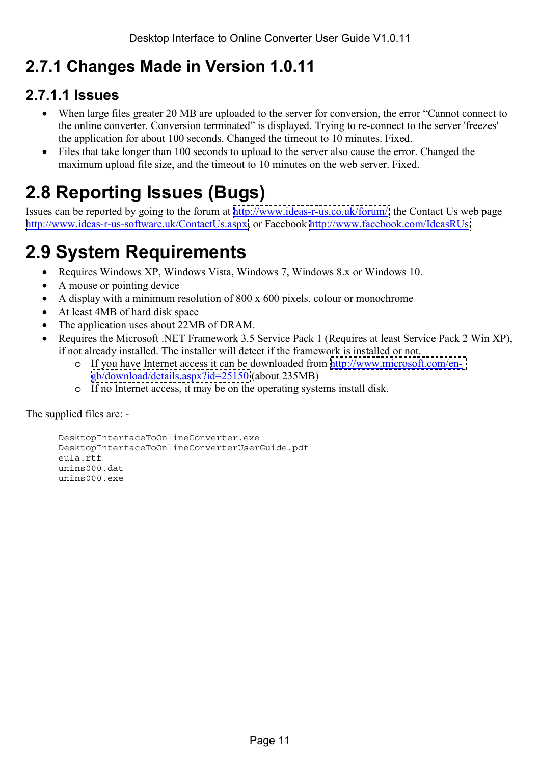### <span id="page-10-0"></span>**2.7.1 Changes Made in Version 1.0.11**

### **2.7.1.1 Issues**

- When large files greater 20 MB are uploaded to the server for conversion, the error "Cannot connect to the online converter. Conversion terminated" is displayed. Trying to re-connect to the server 'freezes' the application for about 100 seconds. Changed the timeout to 10 minutes. Fixed.
- Files that take longer than 100 seconds to upload to the server also cause the error. Changed the maximum upload file size, and the timeout to 10 minutes on the web server. Fixed.

# **2.8 Reporting Issues (Bugs)**

Issues can be reported by going to the forum at [http://www.ideas-r-us.co.uk/forum/,](http://www.ideas-r-us.co.uk/forum/) the Contact Us web page [http://www.ideas-r-us-software.uk/ContactUs.aspx,](http://www.ideas-r-us-software.uk/ContactUs.aspx) or Facebook [http://www.facebook.com/IdeasRUs.](http://www.facebook.com/IdeasRUs)

# **2.9 System Requirements**

- Requires Windows XP, Windows Vista, Windows 7, Windows 8.x or Windows 10.
- A mouse or pointing device
- A display with a minimum resolution of 800 x 600 pixels, colour or monochrome
- At least 4MB of hard disk space
- The application uses about 22MB of DRAM.
- Requires the Microsoft .NET Framework 3.5 Service Pack 1 (Requires at least Service Pack 2 Win XP), if not already installed. The installer will detect if the framework is installed or not.
	- o If you have Internet access it can be downloaded from [http://www.microsoft.com/en](http://www.microsoft.com/en-gb/download/details.aspx?id=25150)[gb/download/details.aspx?id=25150](http://www.microsoft.com/en-gb/download/details.aspx?id=25150) (about 235MB)
	- o If no Internet access, it may be on the operating systems install disk.

The supplied files are: -

```
DesktopInterfaceToOnlineConverter.exe 
DesktopInterfaceToOnlineConverterUserGuide.pdf 
eula.rtf 
unins000.dat 
unins000.exe
```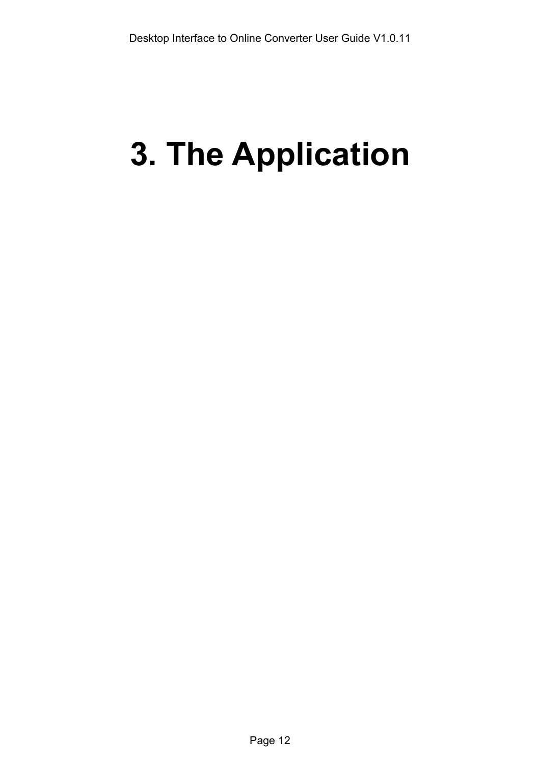# <span id="page-11-0"></span>**3. The Application**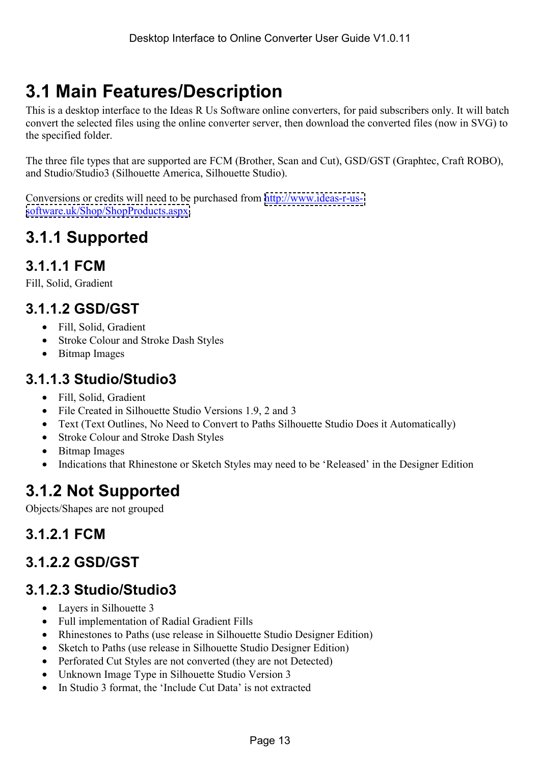# <span id="page-12-0"></span>**3.1 Main Features/Description**

This is a desktop interface to the Ideas R Us Software online converters, for paid subscribers only. It will batch convert the selected files using the online converter server, then download the converted files (now in SVG) to the specified folder.

The three file types that are supported are FCM (Brother, Scan and Cut), GSD/GST (Graphtec, Craft ROBO), and Studio/Studio3 (Silhouette America, Silhouette Studio).

Conversions or credits will need to be purchased from [http://www.ideas-r-us](http://www.ideas-r-us-software.uk/Shop/ShopProducts.aspx)[software.uk/Shop/ShopProducts.aspx.](http://www.ideas-r-us-software.uk/Shop/ShopProducts.aspx)

### **3.1.1 Supported**

### **3.1.1.1 FCM**

Fill, Solid, Gradient

### **3.1.1.2 GSD/GST**

- Fill, Solid, Gradient
- Stroke Colour and Stroke Dash Styles
- Bitmap Images

### **3.1.1.3 Studio/Studio3**

- Fill, Solid, Gradient
- File Created in Silhouette Studio Versions 1.9, 2 and 3
- Text (Text Outlines, No Need to Convert to Paths Silhouette Studio Does it Automatically)
- Stroke Colour and Stroke Dash Styles
- Bitmap Images
- Indications that Rhinestone or Sketch Styles may need to be 'Released' in the Designer Edition

### **3.1.2 Not Supported**

Objects/Shapes are not grouped

### **3.1.2.1 FCM**

### **3.1.2.2 GSD/GST**

### **3.1.2.3 Studio/Studio3**

- Layers in Silhouette 3
- Full implementation of Radial Gradient Fills
- Rhinestones to Paths (use release in Silhouette Studio Designer Edition)
- Sketch to Paths (use release in Silhouette Studio Designer Edition)
- Perforated Cut Styles are not converted (they are not Detected)
- Unknown Image Type in Silhouette Studio Version 3
- In Studio 3 format, the 'Include Cut Data' is not extracted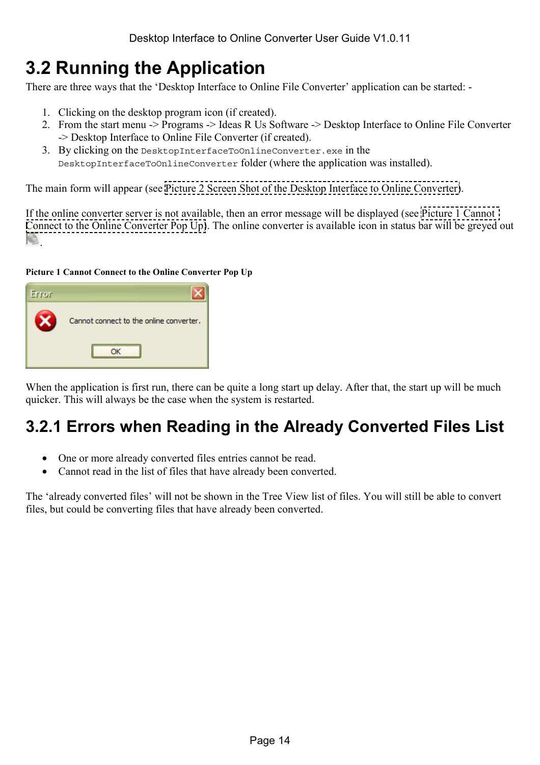## <span id="page-13-0"></span>**3.2 Running the Application**

There are three ways that the 'Desktop Interface to Online File Converter' application can be started: -

- 1. Clicking on the desktop program icon (if created).
- 2. From the start menu -> Programs -> Ideas R Us Software -> Desktop Interface to Online File Converter -> Desktop Interface to Online File Converter (if created).
- 3. By clicking on the DesktopInterfaceToOnlineConverter.exe in the DesktopInterfaceToOnlineConverter folder (where the application was installed).

The main form will appear (see [Picture 2 Screen Shot of the Desktop Interface to Online Converter\)](#page-15-0).

If the online converter server is not available, then an error message will be displayed (see Picture 1 Cannot Connect to the Online Converter Pop Up). The online converter is available icon in status bar will be greyed out **.** 

#### **Picture 1 Cannot Connect to the Online Converter Pop Up**



When the application is first run, there can be quite a long start up delay. After that, the start up will be much quicker. This will always be the case when the system is restarted.

### **3.2.1 Errors when Reading in the Already Converted Files List**

- One or more already converted files entries cannot be read.
- Cannot read in the list of files that have already been converted.

The 'already converted files' will not be shown in the Tree View list of files. You will still be able to convert files, but could be converting files that have already been converted.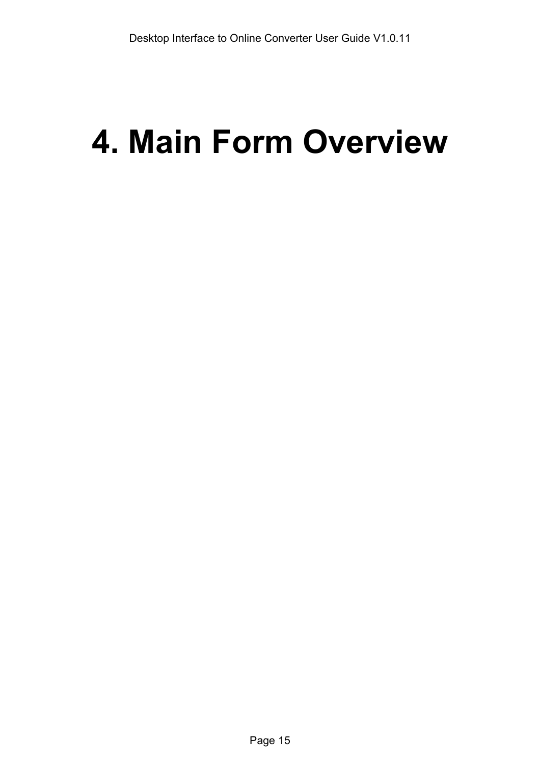# <span id="page-14-0"></span>**4. Main Form Overview**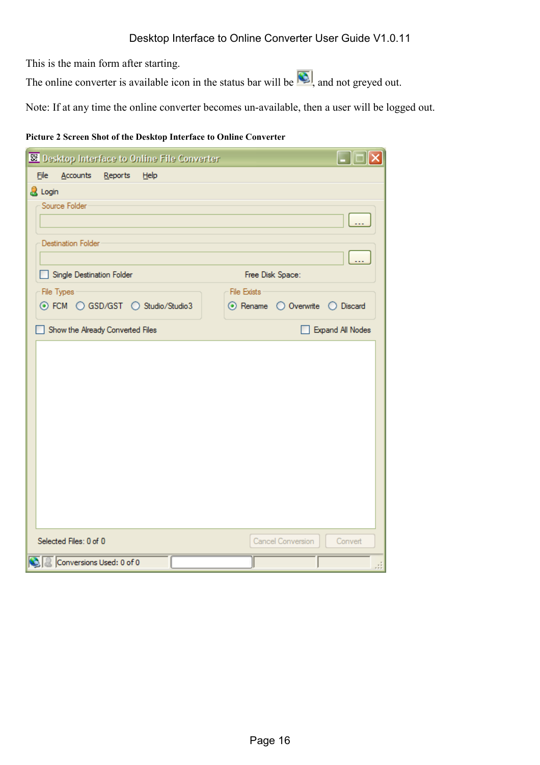<span id="page-15-0"></span>This is the main form after starting.

The online converter is available icon in the status bar will be  $\left($ . and not greyed out.

Note: If at any time the online converter becomes un-available, then a user will be logged out.

#### **Picture 2 Screen Shot of the Desktop Interface to Online Converter**

| <b>SE Desktop Interface to Online File Converter</b> |                                |
|------------------------------------------------------|--------------------------------|
| Eile<br>Accounts Reports Help                        |                                |
| & Login                                              |                                |
| Source Folder                                        |                                |
|                                                      |                                |
| <b>Destination Folder</b>                            |                                |
|                                                      |                                |
| Single Destination Folder                            | Free Disk Space:               |
| File Types                                           | <b>File Exists</b>             |
| ⊙ FCM O GSD/GST O Studio/Studio3                     | ⊙ Rename O Overwrite O Discard |
| Show the Already Converted Files                     | <b>Expand All Nodes</b>        |
|                                                      |                                |
|                                                      |                                |
|                                                      |                                |
|                                                      |                                |
|                                                      |                                |
|                                                      |                                |
|                                                      |                                |
|                                                      |                                |
|                                                      |                                |
|                                                      |                                |
|                                                      |                                |
| Selected Files: 0 of 0                               | Cancel Conversion<br>Convert   |
| Conversions Used: 0 of 0                             |                                |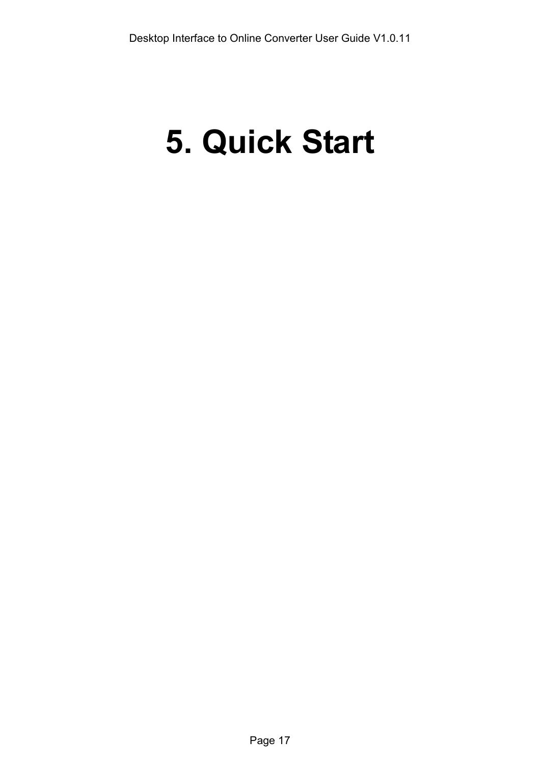# <span id="page-16-0"></span>**5. Quick Start**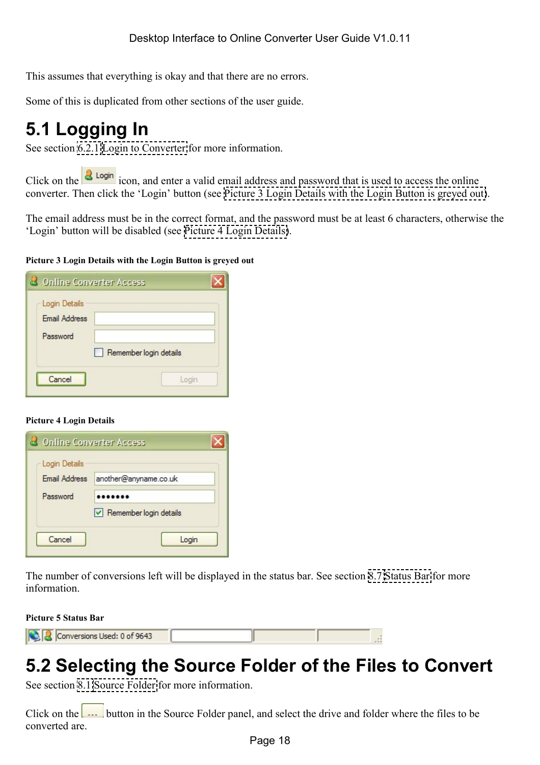<span id="page-17-0"></span>This assumes that everything is okay and that there are no errors.

Some of this is duplicated from other sections of the user guide.

# **5.1 Logging In**

See section [6.2.1 Login to Converter](#page-23-0) for more information.

Click on the  $\frac{3 \text{ Login}}{1 \text{ copin}}$  icon, and enter a valid email address and password that is used to access the online converter. Then click the 'Login' button (see Picture 3 Login Details with the Login Button is greyed out).

The email address must be in the correct format, and the password must be at least 6 characters, otherwise the 'Login' button will be disabled (see Picture 4 Login Details).

#### **Picture 3 Login Details with the Login Button is greyed out**

| <b>B</b> Online Converter Access                  |                        |
|---------------------------------------------------|------------------------|
| Login Details<br><b>Email Address</b><br>Password | Remember login details |
| Cancel                                            | Login                  |

#### **Picture 4 Login Details**



The number of conversions left will be displayed in the status bar. See section [8.7 Status Bar](#page-39-0) for more information.

**Picture 5 Status Bar** 

| Conversions Used: 0 of 9643 |  |  |
|-----------------------------|--|--|
|                             |  |  |

# **5.2 Selecting the Source Folder of the Files to Convert**

See section [8.1 Source Folder](#page-36-0) for more information.

Click on the  $\frac{1}{1}$  button in the Source Folder panel, and select the drive and folder where the files to be converted are.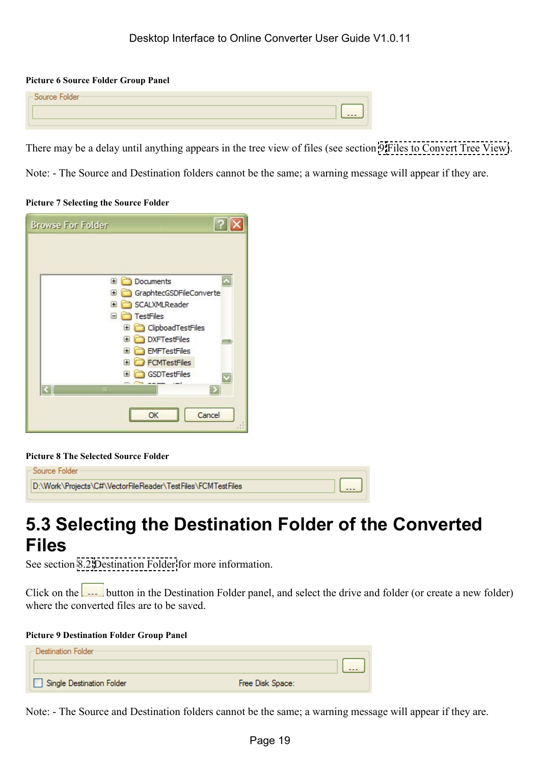#### <span id="page-18-0"></span>**Picture 6 Source Folder Group Panel**

| -Source Folder- |  |  |         |
|-----------------|--|--|---------|
|                 |  |  | $- - -$ |
|                 |  |  |         |

There may be a delay until anything appears in the tree view of files (see section [9 Files to Convert Tree View\)](#page-40-0).

Note: - The Source and Destination folders cannot be the same; a warning message will appear if they are.

#### **Picture 7 Selecting the Source Folder**

| <b>Browse For Folder</b>        |  |
|---------------------------------|--|
|                                 |  |
| Documents<br>$\pm$              |  |
| GraphtecGSDFileConverte<br>Œ    |  |
| SCALXMLReader<br>œ              |  |
| TestFiles<br>⊟                  |  |
| ClipboadTestFiles<br>Đ          |  |
| <b>DXFTestFiles</b><br>œ<br>- 3 |  |
| <b>EMFTestFiles</b><br>Œ        |  |
| <b>FCMTestFiles</b><br>⊞        |  |
| GSDTestFiles<br>Ŧ               |  |
| Ш                               |  |
|                                 |  |
| Cancel                          |  |
|                                 |  |

#### **Picture 8 The Selected Source Folder**

| – Source Folder –                                           |                         |
|-------------------------------------------------------------|-------------------------|
| D:\Work\Projects\C#\VectorFileReader\TestFiles\FCMTestFiles | $\lfloor \dots \rfloor$ |
|                                                             |                         |

## **5.3 Selecting the Destination Folder of the Converted Files**

See section [8.2 Destination Folder](#page-36-0) for more information.

Click on the  $\frac{1}{\cdots}$  button in the Destination Folder panel, and select the drive and folder (or create a new folder) where the converted files are to be saved.

#### **Picture 9 Destination Folder Group Panel**

| – Destination Folder -    |                                   |
|---------------------------|-----------------------------------|
|                           | $\Pi_{\rm max}$ is a set of $\Pi$ |
| Single Destination Folder | Free Disk Space:                  |

Note: - The Source and Destination folders cannot be the same; a warning message will appear if they are.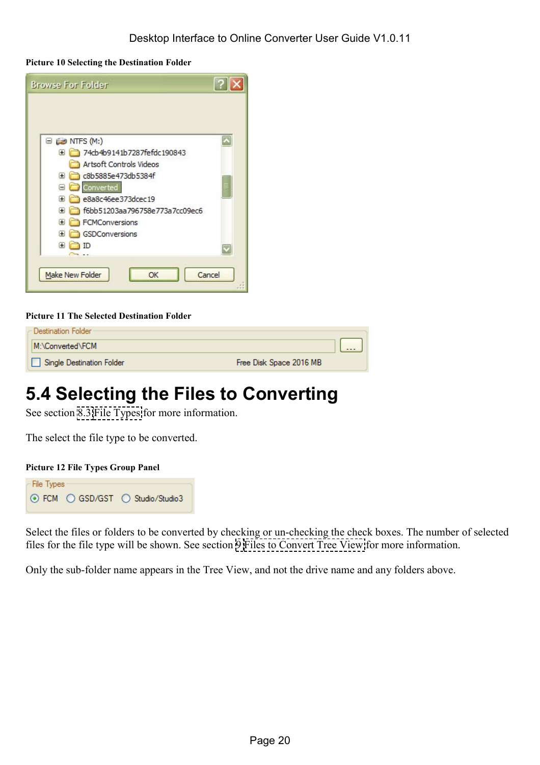<span id="page-19-0"></span>**Picture 10 Selecting the Destination Folder** 

| <b>Browse For Folder</b>                    | $\overline{?}$ |
|---------------------------------------------|----------------|
|                                             |                |
| $\boxminus$ $\Longleftrightarrow$ NTFS (M:) |                |
| 74cb4b9141b7287fefdc190843<br>Œ             |                |
| Artsoft Controls Videos                     |                |
| c8b5885e473db5384f<br>Ð                     |                |
| Converted<br>Ξ                              |                |
| e8a8c46ee373dcec19<br>$\overline{+}$        |                |
| f6bb51203aa796758e773a7cc09ec6<br>Œ         |                |
| FCMConversions<br>Œ                         |                |
| GSDConversions<br>Œ                         |                |
| Œ                                           |                |
|                                             |                |
| Cancel<br><b>Make New Folder</b><br>OK      |                |

#### **Picture 11 The Selected Destination Folder**

| - Destination Folder -    |                         |                    |
|---------------------------|-------------------------|--------------------|
| M:\Converted\FCM          |                         | $\Pi$ $\mathbf{r}$ |
| Single Destination Folder | Free Disk Space 2016 MB |                    |

# **5.4 Selecting the Files to Converting**

See section [8.3 File Types](#page-38-0) for more information.

The select the file type to be converted.

#### **Picture 12 File Types Group Panel**



Select the files or folders to be converted by checking or un-checking the check boxes. The number of selected files for the file type will be shown. See section [9 Files to Convert Tree View](#page-40-0) for more information.

Only the sub-folder name appears in the Tree View, and not the drive name and any folders above.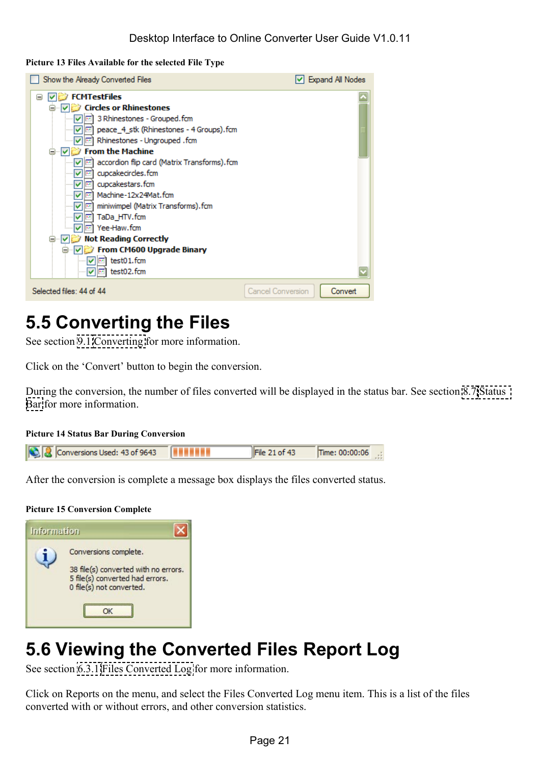#### <span id="page-20-0"></span>**Picture 13 Files Available for the selected File Type**

| Show the Already Converted Files                                                                                                                                                                                                                                                                                                                                                                                                                                                                                                  | Expand All Nodes             |
|-----------------------------------------------------------------------------------------------------------------------------------------------------------------------------------------------------------------------------------------------------------------------------------------------------------------------------------------------------------------------------------------------------------------------------------------------------------------------------------------------------------------------------------|------------------------------|
| <b>FCMTestFiles</b><br>Θ<br><b>Circles or Rhinestones</b><br>3 Rhinestones - Grouped.fcm<br>mill peace_4_stk (Rhinestones - 4 Groups).fcm<br>M<br><b>Im</b> Rhinestones - Ungrouped . fcm<br><b>From the Machine</b><br>accordion flip card (Matrix Transforms). fcm<br>cupcakecircles.fcm<br>cupcakestars.fcm<br>Machine-12x24Mat.fcm<br>M<br><b>Bar</b><br>miniwimpel (Matrix Transforms).fcm<br>M<br>TaDa HTV.fcm<br>M<br><b>COL</b><br>Yee-Haw.fcm<br><b>Not Reading Correctly</b><br>From CM600 Upgrade Binary<br>test01.fcm |                              |
| test02.fcm<br>Selected files: 44 of 44                                                                                                                                                                                                                                                                                                                                                                                                                                                                                            | Convert<br>Cancel Conversion |

## **5.5 Converting the Files**

See section [9.1 Converting](#page-41-0) for more information.

Click on the 'Convert' button to begin the conversion.

During the conversion, the number of files converted will be displayed in the status bar. See section [8.7 Status](#page-39-0)  [Bar](#page-39-0) for more information.

#### **Picture 14 Status Bar During Conversion**

|  | <b>Q</b> Conversions Used: 43 of 9643 | File 21 of 43 | Time: $00:00:06$ .: |  |
|--|---------------------------------------|---------------|---------------------|--|
|  |                                       |               |                     |  |

After the conversion is complete a message box displays the files converted status.

#### **Picture 15 Conversion Complete**

| <b>Information</b> |                                                                                                                              |
|--------------------|------------------------------------------------------------------------------------------------------------------------------|
|                    | Conversions complete.<br>38 file(s) converted with no errors.<br>5 file(s) converted had errors.<br>0 file(s) not converted. |
|                    |                                                                                                                              |

# **5.6 Viewing the Converted Files Report Log**

See section [6.3.1 Files Converted Log](#page-26-0) for more information.

Click on Reports on the menu, and select the Files Converted Log menu item. This is a list of the files converted with or without errors, and other conversion statistics.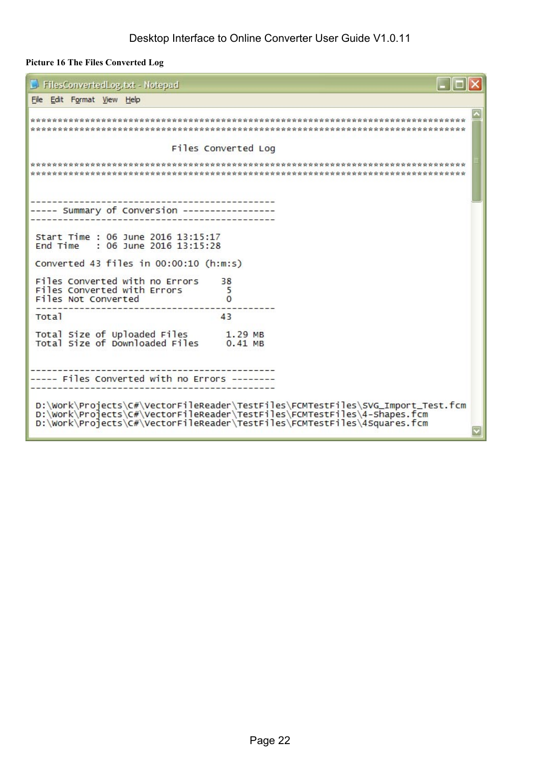#### <span id="page-21-0"></span>**Picture 16 The Files Converted Log**

| FilesConvertedLog.txt - Notepad                                                                                                                                                                                                      |  |  |  |
|--------------------------------------------------------------------------------------------------------------------------------------------------------------------------------------------------------------------------------------|--|--|--|
| File Edit Format View Help                                                                                                                                                                                                           |  |  |  |
|                                                                                                                                                                                                                                      |  |  |  |
| Files Converted Log                                                                                                                                                                                                                  |  |  |  |
|                                                                                                                                                                                                                                      |  |  |  |
| ----- Summary of Conversion -------                                                                                                                                                                                                  |  |  |  |
| Start Time : 06 June 2016 13:15:17<br>$: 06$ June 2016 13:15:28<br>End Time                                                                                                                                                          |  |  |  |
| Converted 43 files in $00:00:10$ (h:m:s)                                                                                                                                                                                             |  |  |  |
| Files Converted with no Errors<br>38<br>Files Converted with Errors<br>5<br>Files Not Converted                                                                                                                                      |  |  |  |
| <b>Total</b><br>43                                                                                                                                                                                                                   |  |  |  |
| Total Size of Uploaded Files<br>Total Size of Downloaded Files<br>1.29 MB<br>$0.41$ MB                                                                                                                                               |  |  |  |
| ----- Files Converted with no Errors ---                                                                                                                                                                                             |  |  |  |
| D:\Work\Projects\C#\VectorFileReader\TestFiles\FCMTestFiles\SVG_Import_Test.fcm<br>D:\Work\Projects\C#\VectorFileReader\TestFiles\FCMTestFiles\4-Shapes.fcm<br>D:\Work\Projects\C#\VectorFileReader\TestFiles\FCMTestFiles\4Squares. |  |  |  |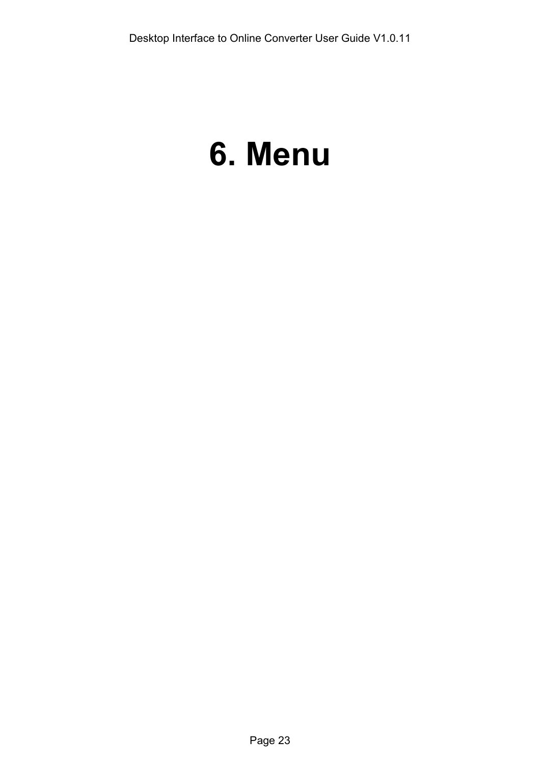# <span id="page-22-0"></span>**6. Menu**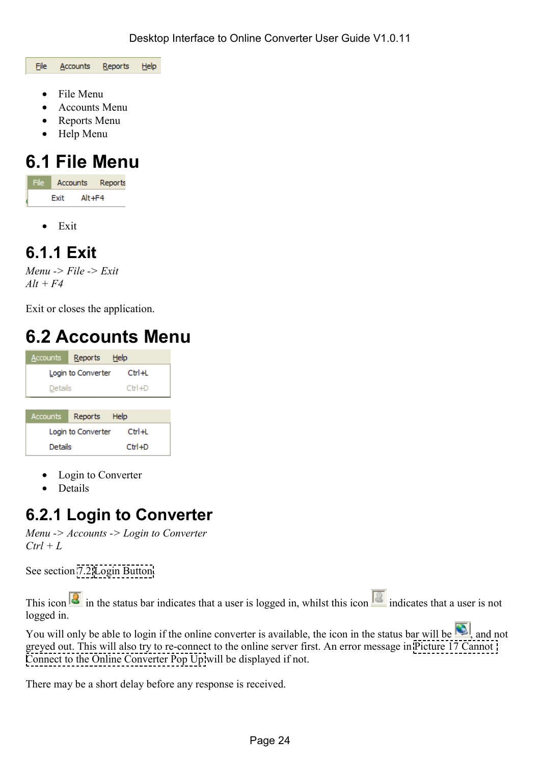<span id="page-23-0"></span>File **Accounts** Reports Help

- File Menu
- Accounts Menu
- Reports Menu
- Help Menu

# **6.1 File Menu**

File | Accounts Reports Exit Alt+F4

• Exit

### **6.1.1 Exit**

*Menu -> File -> Exit Alt + F4* 

Exit or closes the application.

## **6.2 Accounts Menu**

| Accounts                         | Reports Help       |          |
|----------------------------------|--------------------|----------|
| $Ctr1 + 1$<br>Login to Converter |                    |          |
| Details                          |                    | $Ctr +D$ |
|                                  |                    |          |
| Accounts                         | Reports Help       |          |
|                                  |                    |          |
|                                  | Login to Converter | CtrH     |

- Login to Converter
- Details

### **6.2.1 Login to Converter**

*Menu -> Accounts -> Login to Converter*   $Ctrl + L$ 

See section [7.2 Login Button.](#page-34-0)

This icon  $\frac{1}{\sqrt{2}}$  in the status bar indicates that a user is logged in, whilst this icon  $\frac{1}{\sqrt{2}}$  indicates that a user is not logged in.

You will only be able to login if the online converter is available, the icon in the status bar will be  $\Box$ , and not greyed out. This will also try to re-connect to the online server first. An error message in [Picture 17 Cannot](#page-24-0)  [Connect to the Online Converter Pop Up](#page-24-0) will be displayed if not.

There may be a short delay before any response is received.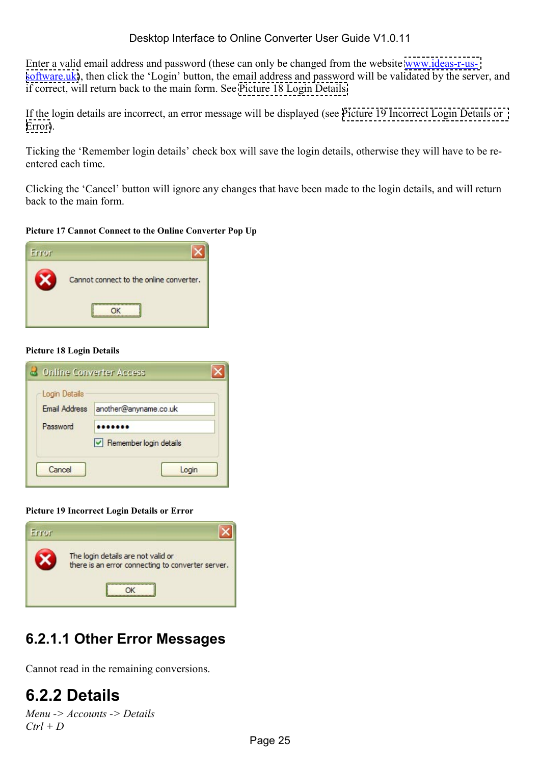#### Desktop Interface to Online Converter User Guide V1.0.11

<span id="page-24-0"></span>Enter a valid email address and password (these can only be changed from the website [www.ideas-r-us](http://www.ideas-r-us-software.uk/)[software.uk\)](http://www.ideas-r-us-software.uk/), then click the 'Login' button, the email address and password will be validated by the server, and if correct, will return back to the main form. See Picture 18 Login Details.

If the login details are incorrect, an error message will be displayed (see Picture 19 Incorrect Login Details or Error).

Ticking the 'Remember login details' check box will save the login details, otherwise they will have to be reentered each time.

Clicking the 'Cancel' button will ignore any changes that have been made to the login details, and will return back to the main form.

**Picture 17 Cannot Connect to the Online Converter Pop Up** 



#### **Picture 18 Login Details**

| Login Details        |                                         |  |
|----------------------|-----------------------------------------|--|
| <b>Email Address</b> | another@anyname.co.uk                   |  |
| Password             |                                         |  |
|                      | $\triangleright$ Remember login details |  |
| Cancel               | Login                                   |  |

**Picture 19 Incorrect Login Details or Error** 



### **6.2.1.1 Other Error Messages**

Cannot read in the remaining conversions.

### **6.2.2 Details**

```
Menu -> Accounts -> Details 
Ctrl + D
```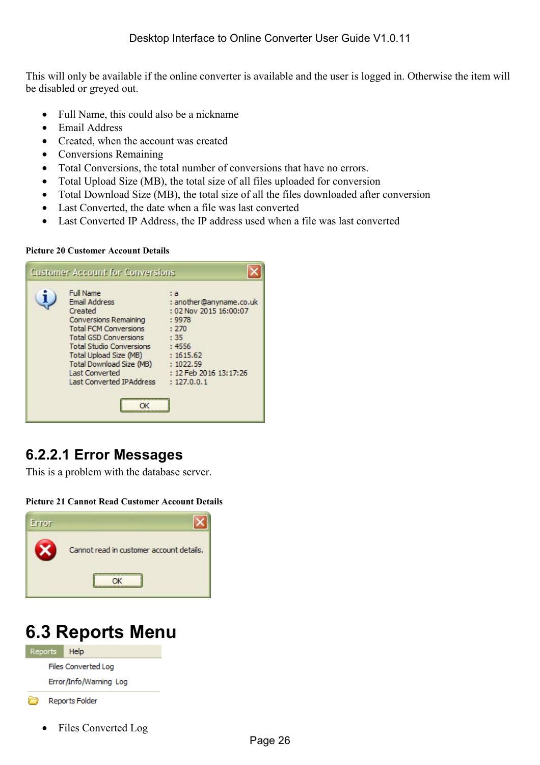<span id="page-25-0"></span>This will only be available if the online converter is available and the user is logged in. Otherwise the item will be disabled or greyed out.

- Full Name, this could also be a nickname
- Email Address
- Created, when the account was created
- Conversions Remaining
- Total Conversions, the total number of conversions that have no errors.
- Total Upload Size (MB), the total size of all files uploaded for conversion
- Total Download Size (MB), the total size of all the files downloaded after conversion
- Last Converted, the date when a file was last converted
- Last Converted IP Address, the IP address used when a file was last converted

#### **Picture 20 Customer Account Details**

| <b>Full Name</b><br><b>Email Address</b><br>Created<br><b>Conversions Remaining</b><br><b>Total FCM Conversions</b><br><b>Total GSD Conversions</b><br><b>Total Studio Conversions</b><br>Total Upload Size (MB) | : a<br>: another@anyname.co.uk<br>: 02 Nov 2015 16:00:07<br>: 9978<br>: 270<br>:35<br>:4556<br>: 1615.62 |
|------------------------------------------------------------------------------------------------------------------------------------------------------------------------------------------------------------------|----------------------------------------------------------------------------------------------------------|
| Total Download Size (MB)<br><b>Last Converted</b><br><b>Last Converted IPAddress</b>                                                                                                                             | : 1022.59<br>: 12 Feb 2016 13:17:26<br>: 127.0.0.1                                                       |

### **6.2.2.1 Error Messages**

This is a problem with the database server.

#### **Picture 21 Cannot Read Customer Account Details**



## **6.3 Reports Menu**



- Reports Folder
	- Files Converted Log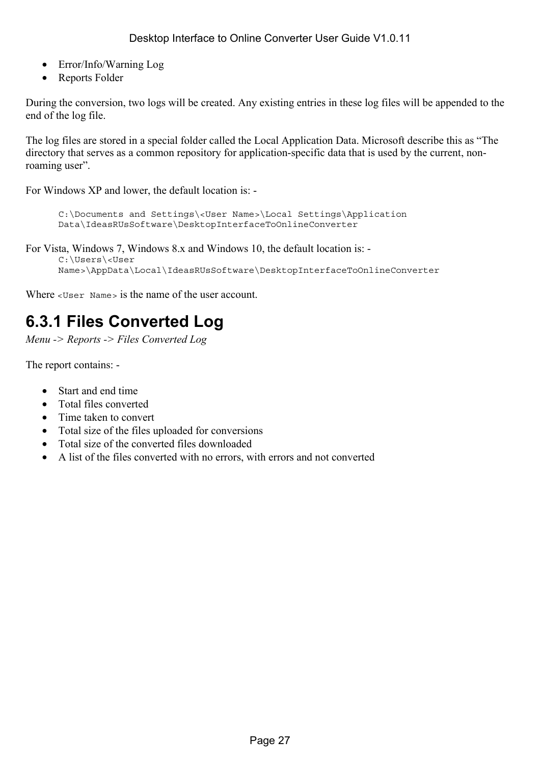- <span id="page-26-0"></span>• Error/Info/Warning Log
- Reports Folder

During the conversion, two logs will be created. Any existing entries in these log files will be appended to the end of the log file.

The log files are stored in a special folder called the Local Application Data. Microsoft describe this as "The directory that serves as a common repository for application-specific data that is used by the current, nonroaming user".

For Windows XP and lower, the default location is: -

```
C:\Documents and Settings\<User Name>\Local Settings\Application 
Data\IdeasRUsSoftware\DesktopInterfaceToOnlineConverter
```
For Vista, Windows 7, Windows 8.x and Windows 10, the default location is: -

```
C:\Users\<User 
Name>\AppData\Local\IdeasRUsSoftware\DesktopInterfaceToOnlineConverter
```
Where <User Name> is the name of the user account.

### **6.3.1 Files Converted Log**

*Menu -> Reports -> Files Converted Log* 

The report contains: -

- Start and end time
- Total files converted
- Time taken to convert
- Total size of the files uploaded for conversions
- Total size of the converted files downloaded
- A list of the files converted with no errors, with errors and not converted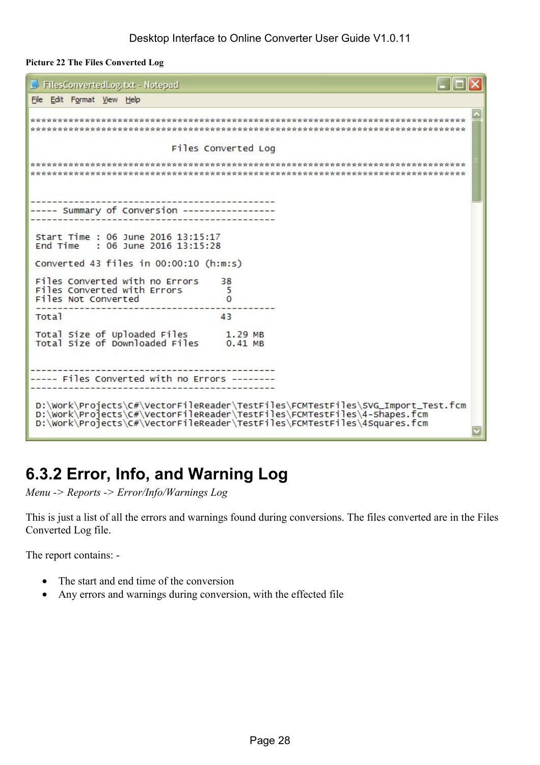#### <span id="page-27-0"></span>**Picture 22 The Files Converted Log**

```
\Boxolx
FilesConvertedLog.txt - Notepad
File Edit Format View Help
Files Converted Log
---------------------
----- Summary of Conversion -----------------
     --------------------------------------
Start Time : 06 June 2016 13:15:17
End Time : 06 June 2016 13:15:28
Converted 43 files in 00:00:10 (h:m:s)
Files Converted with no Errors
                         38
Files Converted with Errors
                          5
Files Not Converted
                         \OmegaTotal
                        43Total Size of Uploaded Files
                       1.29 MB<br>0.41 MB
Total Size of Downloaded Files
----- Files Converted with no Errors --------
D:\Work\Projects\C#\VectorFileReader\TestFiles\FCMTestFiles\SVG_Import_Test.fcm
D:\Work\Projects\C#\VectorFileReader\TestFiles\FCMTestFiles\4-Shapes.fcm
D:\Work\Projects\C#\VectorFileReader\TestFiles\FCMTestFiles\4Squares.fcm
```
## **6.3.2 Error, Info, and Warning Log**

*Menu -> Reports -> Error/Info/Warnings Log* 

This is just a list of all the errors and warnings found during conversions. The files converted are in the Files Converted Log file.

The report contains: -

- The start and end time of the conversion
- Any errors and warnings during conversion, with the effected file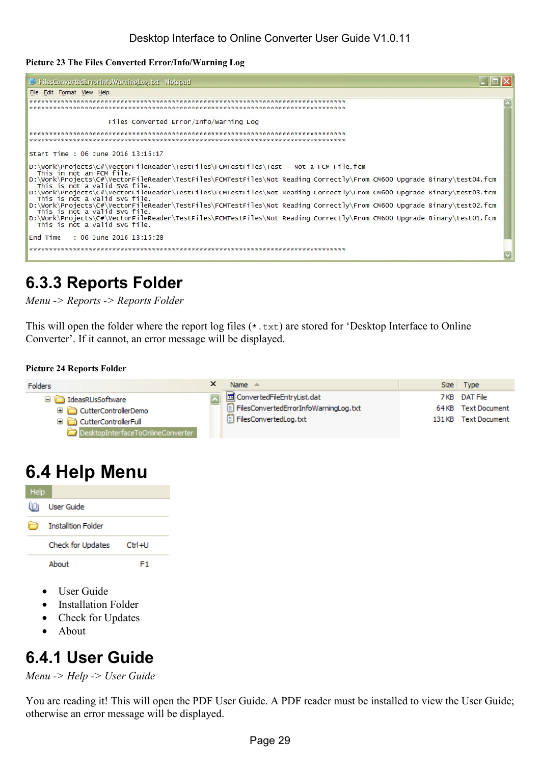<span id="page-28-0"></span>**Picture 23 The Files Converted Error/Info/Warning Log** 

| FilesConvertedErrorInfoWarningLog.txt - Notepad                                                                                                         |  |
|---------------------------------------------------------------------------------------------------------------------------------------------------------|--|
| File Edit Format View Help                                                                                                                              |  |
|                                                                                                                                                         |  |
|                                                                                                                                                         |  |
| Files Converted Error/Info/Warning Log                                                                                                                  |  |
|                                                                                                                                                         |  |
|                                                                                                                                                         |  |
| Start Time: 06 June 2016 13:15:17                                                                                                                       |  |
| D:\Work\Projects\C#\VectorFileReader\TestFiles\FCMTestFiles\Test - Not a FCM File.fcm<br>This in not an FCM file.                                       |  |
| D:\Work\Projects\C#\VectorFileReader\TestFiles\FCMTestFiles\Not Reading Correctly\From CM600 Upgrade Binary\test04.fcm<br>This is not a valid SVG file. |  |
| D:\Work\Projects\C#\VectorFileReader\TestFiles\FCMTestFiles\Not Reading Correctly\From CM600 Upgrade Binary\test03.fcm<br>This is not a valid SVG file. |  |
| D:\Work\Projects\C#\VectorFileReader\TestFiles\FCMTestFiles\Not Reading Correctly\From CM600 Upgrade Binary\test02.fcm<br>This is not a valid SVG file. |  |
| D:\Work\Projects\C#\VectorFileReader\TestFiles\FCMTestFiles\Not Reading Correctly\From CM600 Upgrade Binary\test01.fcm<br>This is not a valid SVG file. |  |
| End Time : 06 June 2016 13:15:28                                                                                                                        |  |
|                                                                                                                                                         |  |

### **6.3.3 Reports Folder**

*Menu -> Reports -> Reports Folder* 

This will open the folder where the report log files (\*.txt) are stored for 'Desktop Interface to Online Converter'. If it cannot, an error message will be displayed.

#### **Picture 24 Reports Folder**



### **6.4 Help Menu**

| Help |                           |        |
|------|---------------------------|--------|
| M    | <b>User Guide</b>         |        |
|      | <b>Installtion Folder</b> |        |
|      | Check for Updates         | Ctrl+U |
|      | About                     | F1     |

- User Guide
- Installation Folder
- Check for Updates
- About

### **6.4.1 User Guide**

*Menu -> Help -> User Guide* 

You are reading it! This will open the PDF User Guide. A PDF reader must be installed to view the User Guide; otherwise an error message will be displayed.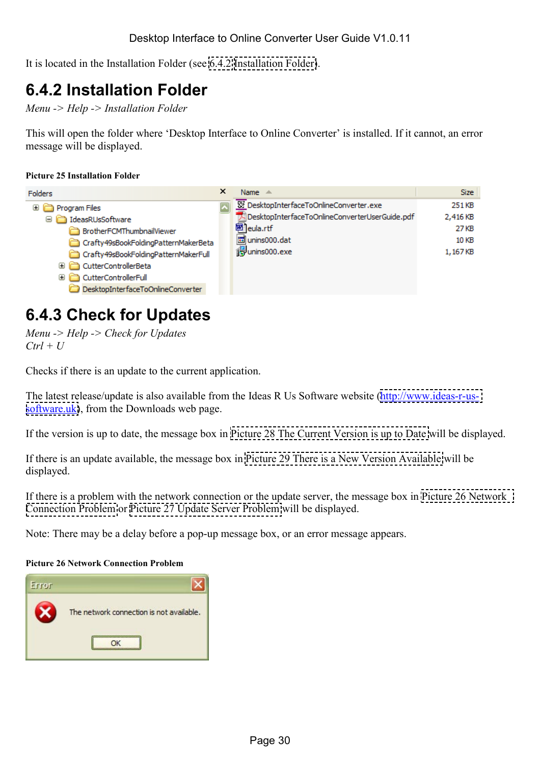<span id="page-29-0"></span>It is located in the Installation Folder (see 6.4.2 Installation Folder).

### **6.4.2 Installation Folder**

*Menu -> Help -> Installation Folder* 

This will open the folder where 'Desktop Interface to Online Converter' is installed. If it cannot, an error message will be displayed.

#### **Picture 25 Installation Folder**

| Folders                                                                                                                                                                                                                | × | Name $\triangle$                                                                                                                             | <b>Size</b>                                     |
|------------------------------------------------------------------------------------------------------------------------------------------------------------------------------------------------------------------------|---|----------------------------------------------------------------------------------------------------------------------------------------------|-------------------------------------------------|
| Program Files<br>⊞<br>□ deasRUsSoftware<br>BrotherFCMThumbnailViewer<br>Crafty49sBookFoldingPatternMakerBeta<br>Crafty49sBookFoldingPatternMakerFull<br>CutterControllerBeta<br>田口<br><b>CutterControllerFull</b><br>Œ |   | W DesktopInterfaceToOnlineConverter.exe<br>ADesktopInterfaceToOnlineConverterUserGuide.pdf<br>网 eula.rtf<br>lo unins000.dat<br>punins000.exe | 251 KB<br>2,416 KB<br>27 KB<br>10 KB<br>1,167KB |
| DesktopInterfaceToOnlineConverter                                                                                                                                                                                      |   |                                                                                                                                              |                                                 |

### **6.4.3 Check for Updates**

*Menu -> Help -> Check for Updates*   $Ctrl + U$ 

Checks if there is an update to the current application.

The latest release/update is also available from the Ideas R Us Software website [\(http://www.ideas-r-us](http://www.ideas-r-us-software.uk/)[software.uk\)](http://www.ideas-r-us-software.uk/), from the Downloads web page.

If the version is up to date, the message box in [Picture 28 The Current Version is up to Date](#page-30-0) will be displayed.

If there is an update available, the message box in [Picture 29 There is a New Version Available](#page-30-0) will be displayed.

If there is a problem with the network connection or the update server, the message box in Picture 26 Network Connection Problem or Picture 27 Update Server Problem will be displayed.

Note: There may be a delay before a pop-up message box, or an error message appears.

#### **Picture 26 Network Connection Problem**

| Error |                                          |
|-------|------------------------------------------|
|       | The network connection is not available. |
|       |                                          |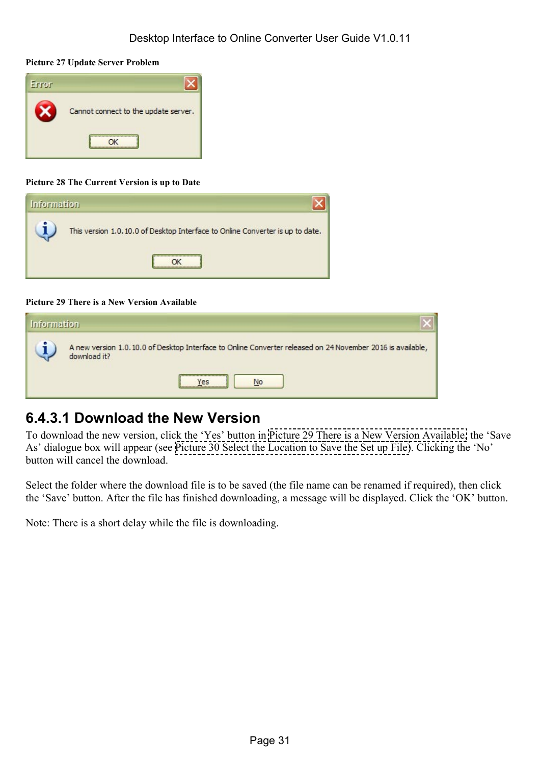#### <span id="page-30-0"></span>**Picture 27 Update Server Problem**



#### **Picture 28 The Current Version is up to Date**



#### **Picture 29 There is a New Version Available**

| <b>Information</b> |                                                                                                                                                                         |
|--------------------|-------------------------------------------------------------------------------------------------------------------------------------------------------------------------|
|                    | A new version 1.0.10.0 of Desktop Interface to Online Converter released on 24 November 2016 is available,<br>download it?<br>,,,,,,,,,,,,,,,,,,,,,,,,,,,,<br>No<br>Yes |

### **6.4.3.1 Download the New Version**

To download the new version, click the 'Yes' button in Picture 29 There is a New Version Available, the 'Save As' dialogue box will appear (see [Picture 30 Select the Location to Save the Set up File\)](#page-31-0). Clicking the 'No' button will cancel the download.

Select the folder where the download file is to be saved (the file name can be renamed if required), then click the 'Save' button. After the file has finished downloading, a message will be displayed. Click the 'OK' button.

Note: There is a short delay while the file is downloading.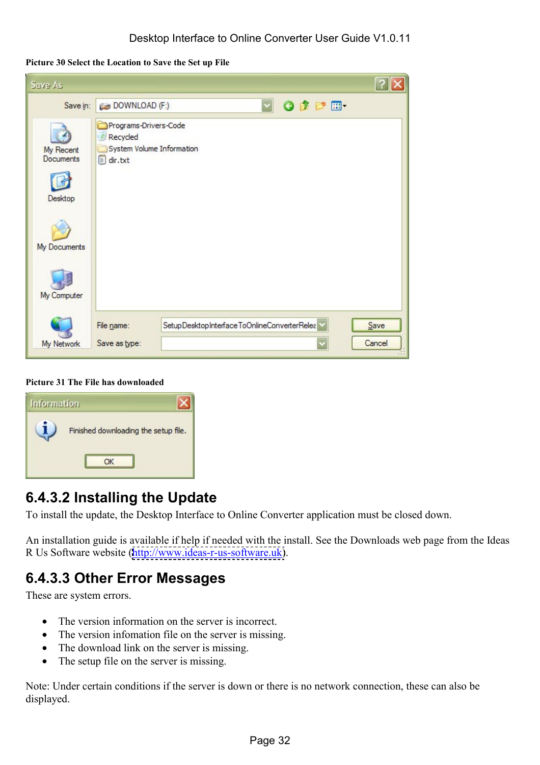<span id="page-31-0"></span>**Picture 30 Select the Location to Save the Set up File** 

| Save As                                  |                                                                                        |                |
|------------------------------------------|----------------------------------------------------------------------------------------|----------------|
| Save in:                                 | $\overline{\phantom{0}}$<br>ODPE-<br>DOWNLOAD (F:)                                     |                |
| My Recent<br><b>Documents</b><br>Desktop | Programs-Drivers-Code<br>Recycled<br>System Volume Information<br>$\mathbf{E}$ dir.txt |                |
| My Documents                             |                                                                                        |                |
| My Computer                              |                                                                                        |                |
| My Network                               | SetupDesktopInterfaceToOnlineConverterRelea<br>File name:<br>Save as type:             | Save<br>Cancel |

**Picture 31 The File has downloaded** 

| <b>Information</b> |                                      |
|--------------------|--------------------------------------|
|                    | Finished downloading the setup file. |
|                    |                                      |

### **6.4.3.2 Installing the Update**

To install the update, the Desktop Interface to Online Converter application must be closed down.

An installation guide is available if help if needed with the install. See the Downloads web page from the Ideas R Us Software website ([http://www.ideas-r-us-software.uk\)](http://www.ideas-r-us-software.uk/).

### **6.4.3.3 Other Error Messages**

These are system errors.

- The version information on the server is incorrect.
- The version infomation file on the server is missing.
- The download link on the server is missing.
- The setup file on the server is missing.

Note: Under certain conditions if the server is down or there is no network connection, these can also be displayed.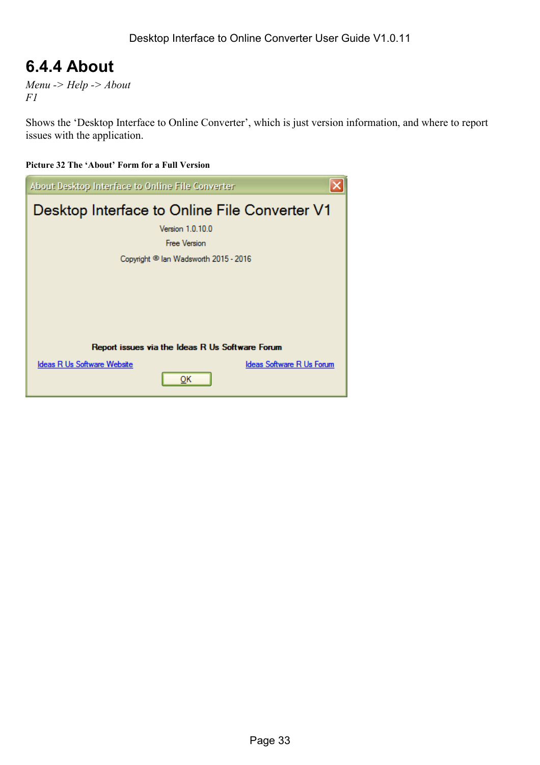### <span id="page-32-0"></span>**6.4.4 About**

*Menu -> Help -> About F1* 

Shows the 'Desktop Interface to Online Converter', which is just version information, and where to report issues with the application.

#### **Picture 32 The 'About' Form for a Full Version**

| About Desktop Interface to Online File Converter |                                                  |
|--------------------------------------------------|--------------------------------------------------|
|                                                  | Desktop Interface to Online File Converter V1    |
|                                                  | Version 1.0.10.0                                 |
|                                                  | <b>Free Version</b>                              |
|                                                  | Copyright <sup>@</sup> lan Wadsworth 2015 - 2016 |
|                                                  |                                                  |
|                                                  |                                                  |
|                                                  |                                                  |
|                                                  |                                                  |
|                                                  | Report issues via the Ideas R Us Software Forum  |
| <b>Ideas R Us Software Website</b>               | <b>Ideas Software R Us Forum</b>                 |
|                                                  | <u>O</u> Κ                                       |
|                                                  |                                                  |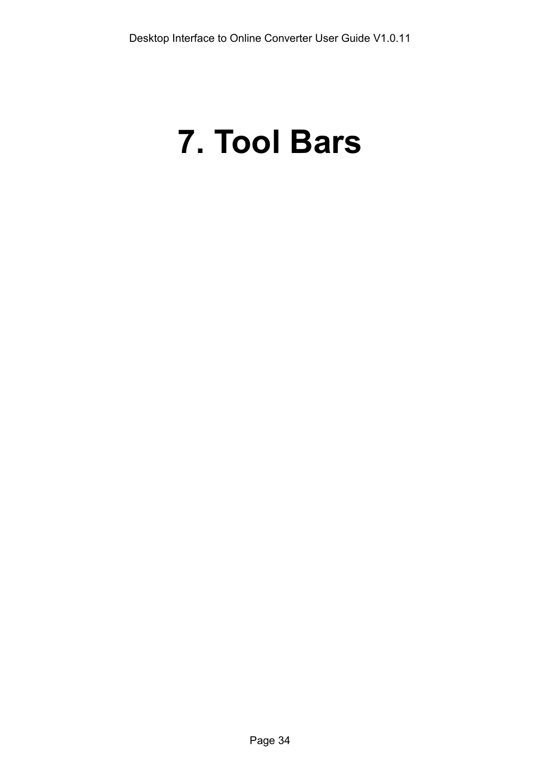# <span id="page-33-0"></span>**7. Tool Bars**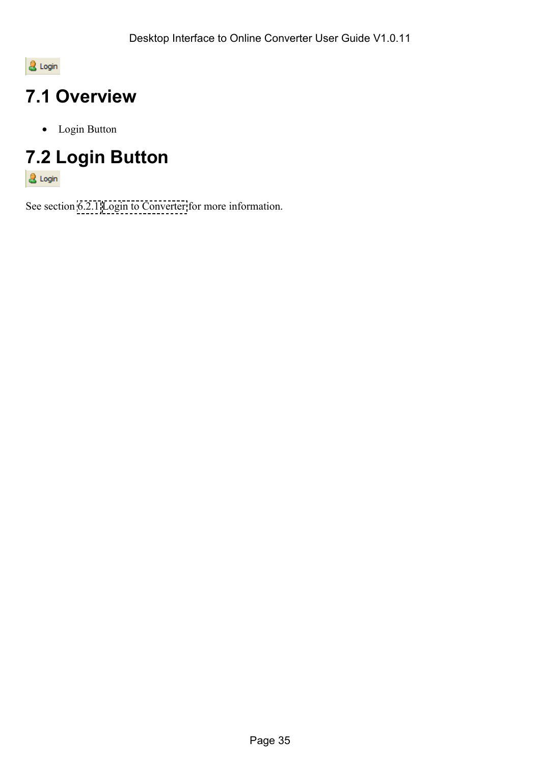<span id="page-34-0"></span>& Login

# **7.1 Overview**

• Login Button

# **7.2 Login Button**

& Login

See section [6.2.1 Login to Converter](#page-23-0) for more information.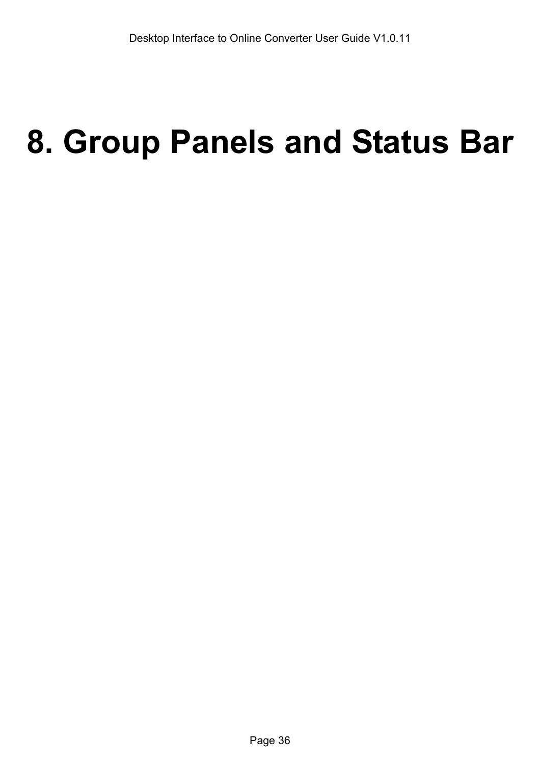# <span id="page-35-0"></span>**8. Group Panels and Status Bar**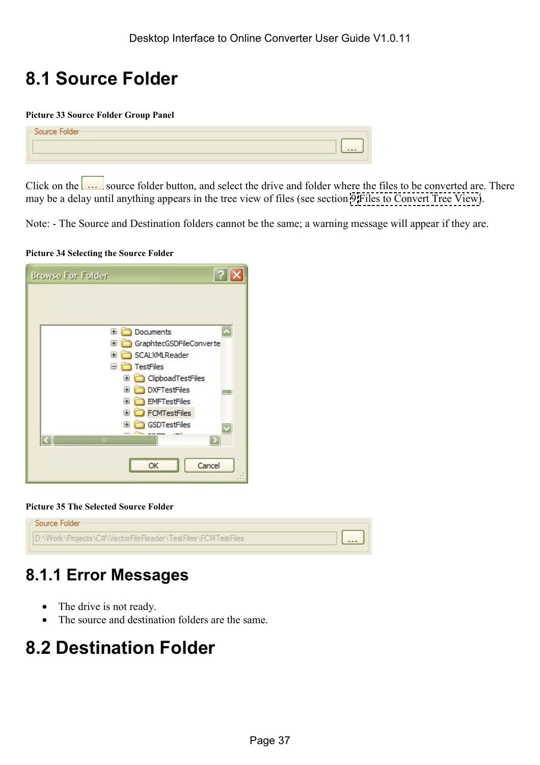# <span id="page-36-0"></span>**8.1 Source Folder**

#### **Picture 33 Source Folder Group Panel**

| - Source Folder- |         |
|------------------|---------|
|                  | $- - -$ |
|                  |         |

Click on the source folder button, and select the drive and folder where the files to be converted are. There may be a delay until anything appears in the tree view of files (see section [9 Files to Convert Tree View\)](#page-40-0).

Note: - The Source and Destination folders cannot be the same; a warning message will appear if they are.

|  |  | <b>Picture 34 Selecting the Source Folder</b> |  |
|--|--|-----------------------------------------------|--|
|--|--|-----------------------------------------------|--|

| <b>Browse For Folder</b>     |
|------------------------------|
|                              |
|                              |
| Documents<br>Œ               |
| GraphtecGSDFileConverte<br>⊞ |
| SCALXMLReader<br>œ           |
| <b>TestFiles</b><br>Θ        |
| ClipboadTestFiles<br>Ð       |
| <b>DXFTestFiles</b><br>œ     |
| <b>EMFTestFiles</b><br>Œ     |
| <b>FCMTestFiles</b><br>Œ     |
| GSDTestFiles<br>Œ            |
| Ш                            |
|                              |
| Cancel                       |
|                              |

**Picture 35 The Selected Source Folder** 

| - Source Folder-                                             |  |
|--------------------------------------------------------------|--|
| ID:\Work\Proiects\C#\VectorFileReader\TestFiles\FCMTestFiles |  |
|                                                              |  |

### **8.1.1 Error Messages**

- The drive is not ready.
- The source and destination folders are the same.

# **8.2 Destination Folder**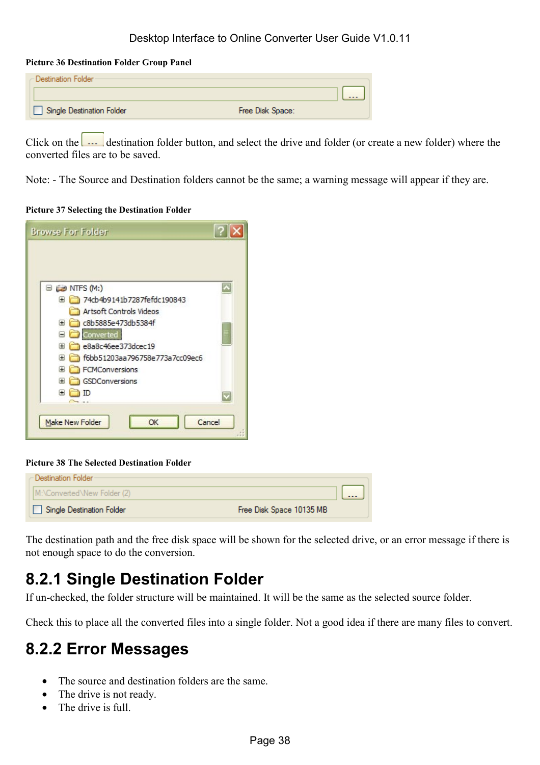#### <span id="page-37-0"></span>**Picture 36 Destination Folder Group Panel**

| - Destination Folder <sup>.</sup> |                  |
|-----------------------------------|------------------|
|                                   | $- - -$          |
| Single Destination Folder         | Free Disk Space: |

Click on the **destination folder button**, and select the drive and folder (or create a new folder) where the converted files are to be saved.

Note: - The Source and Destination folders cannot be the same; a warning message will appear if they are.

#### **Picture 37 Selecting the Destination Folder**

| <b>Browse For Folder</b>               |  |
|----------------------------------------|--|
|                                        |  |
|                                        |  |
| $\Box$ $\Box$ NTFS (M:)                |  |
| 74cb4b9141b7287fefdc190843<br>Ŧ        |  |
| Artsoft Controls Videos                |  |
| c8b5885e473db5384f<br>Ħ                |  |
| Converted                              |  |
| e8a8c46ee373dcec19<br>⊩                |  |
| f6bb51203aa796758e773a7cc09ec6<br>Œ    |  |
| FCMConversions<br>⊞                    |  |
| GSDConversions<br>⋤                    |  |
| Œ                                      |  |
|                                        |  |
|                                        |  |
| <b>Make New Folder</b><br>Cancel<br>OK |  |
|                                        |  |

#### **Picture 38 The Selected Destination Folder**

| - Destination Folder        |                          |                                                  |
|-----------------------------|--------------------------|--------------------------------------------------|
| M:\Converted\New Folder (2) |                          | $\sim$ $\sim$ $\sim$ $\sim$ $\sim$ $\sim$ $\sim$ |
| Single Destination Folder   | Free Disk Space 10135 MB |                                                  |

The destination path and the free disk space will be shown for the selected drive, or an error message if there is not enough space to do the conversion.

### **8.2.1 Single Destination Folder**

If un-checked, the folder structure will be maintained. It will be the same as the selected source folder.

Check this to place all the converted files into a single folder. Not a good idea if there are many files to convert.

### **8.2.2 Error Messages**

- The source and destination folders are the same.
- The drive is not ready.
- The drive is full.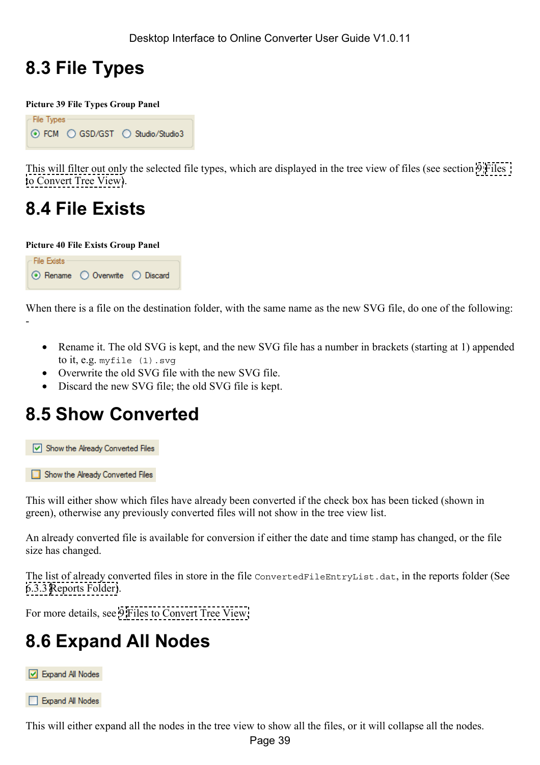## <span id="page-38-0"></span>**8.3 File Types**

**Picture 39 File Types Group Panel** 

```
File Types
⊙ FCM O GSD/GST O Studio/Studio3
```
This will filter out only the selected file types, which are displayed in the tree view of files (see section [9 Files](#page-40-0)  [to Convert Tree View\)](#page-40-0).

# **8.4 File Exists**

**Picture 40 File Exists Group Panel** 



When there is a file on the destination folder, with the same name as the new SVG file, do one of the following: -

- Rename it. The old SVG is kept, and the new SVG file has a number in brackets (starting at 1) appended to it, e.g. myfile (1).svg
- Overwrite the old SVG file with the new SVG file.
- Discard the new SVG file; the old SVG file is kept.

# **8.5 Show Converted**

Show the Already Converted Files

Show the Already Converted Files

This will either show which files have already been converted if the check box has been ticked (shown in green), otherwise any previously converted files will not show in the tree view list.

An already converted file is available for conversion if either the date and time stamp has changed, or the file size has changed.

The list of already converted files in store in the file ConvertedFileEntryList.dat, in the reports folder (See [6.3.3 Reports Folder\)](#page-28-0).

For more details, see [9 Files to Convert Tree View.](#page-40-0)

# **8.6 Expand All Nodes**



Expand All Nodes

This will either expand all the nodes in the tree view to show all the files, or it will collapse all the nodes.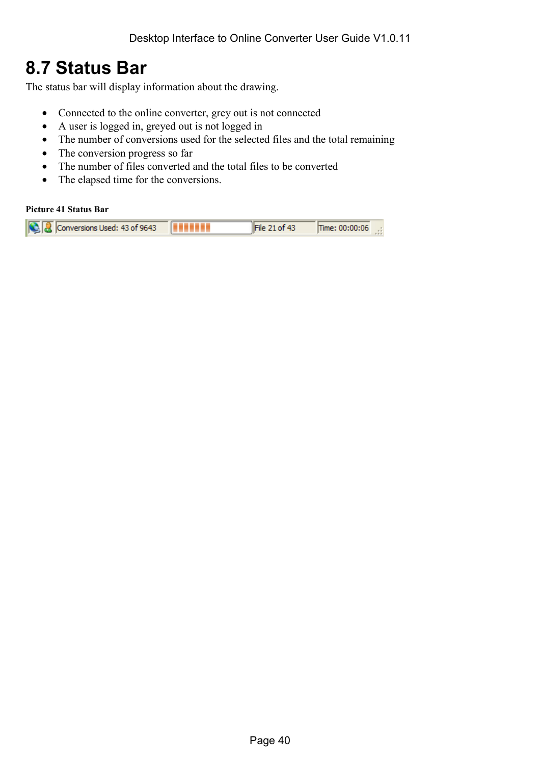### <span id="page-39-0"></span>**8.7 Status Bar**

The status bar will display information about the drawing.

- Connected to the online converter, grey out is not connected
- A user is logged in, greyed out is not logged in
- The number of conversions used for the selected files and the total remaining
- The conversion progress so far
- The number of files converted and the total files to be converted
- The elapsed time for the conversions.

#### **Picture 41 Status Bar**

|  | C Conversions Used: 43 of 9643 |  | File 21 of 43 | Time: 00:00:06 .: |  |
|--|--------------------------------|--|---------------|-------------------|--|
|--|--------------------------------|--|---------------|-------------------|--|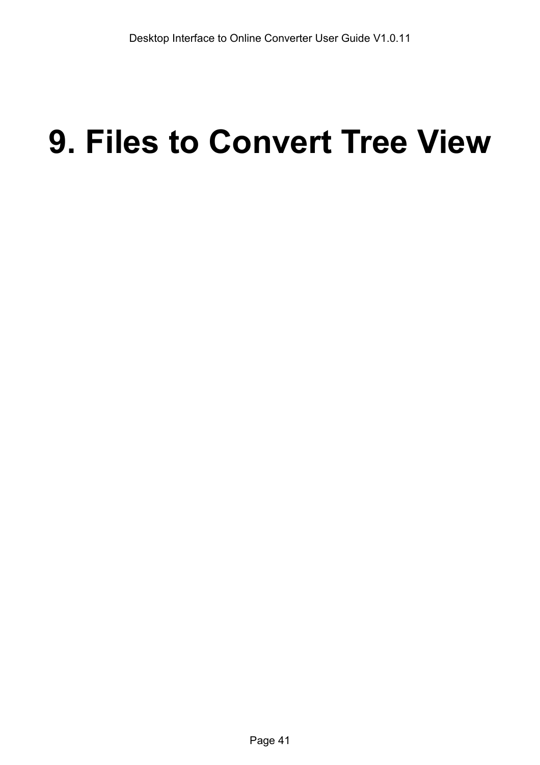# <span id="page-40-0"></span>**9. Files to Convert Tree View**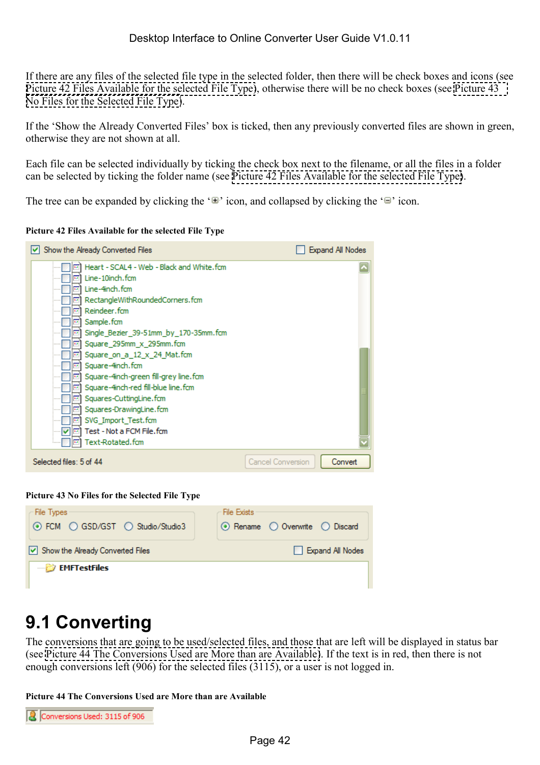<span id="page-41-0"></span>If there are any files of the selected file type in the selected folder, then there will be check boxes and icons (see Picture 42 Files Available for the selected File Type), otherwise there will be no check boxes (see Picture 43 No Files for the Selected File Type).

If the 'Show the Already Converted Files' box is ticked, then any previously converted files are shown in green, otherwise they are not shown at all.

Each file can be selected individually by ticking the check box next to the filename, or all the files in a folder can be selected by ticking the folder name (see Picture 42 Files Available for the selected File Type).

The tree can be expanded by clicking the ' $\mathbb{F}'$  icon, and collapsed by clicking the ' $\mathbb{F}'$  icon.

**Picture 42 Files Available for the selected File Type** 

| Show the Already Converted Files                                                                                                                                                                                                                                                                                                                                                                                                                                                                                                                                                                                                                                                                                                                              | Expand All Nodes                    |
|---------------------------------------------------------------------------------------------------------------------------------------------------------------------------------------------------------------------------------------------------------------------------------------------------------------------------------------------------------------------------------------------------------------------------------------------------------------------------------------------------------------------------------------------------------------------------------------------------------------------------------------------------------------------------------------------------------------------------------------------------------------|-------------------------------------|
| Heart - SCAL4 - Web - Black and White.fcm<br>$\overline{\phantom{a}}$<br>Line-10inch.fcm<br>1.1<br>Line-4inch.fcm<br><b>Bat</b><br>RectangleWithRoundedCorners.fcm<br><b>Bar</b><br>Reindeer, fcm<br><b>Bar</b><br>Sample.fcm<br><b>Ball</b><br>Single Bezier 39-51mm by 170-35mm.fcm<br><b>Bat</b><br>Square 295mm x 295mm.fcm<br><b>Ball</b><br>Square_on_a_12_x_24_Mat.fcm<br><b>Batt</b><br>Square-4inch.fcm<br><b>Bank</b><br>Square-4inch-green fill-grey line.fcm<br><b>Bar</b><br>Square-4inch-red fill-blue line, fcm<br><b>Bar</b><br>Squares-CuttingLine.fcm<br>$\overline{1}$<br>Squares-DrawingLine.fcm<br><b>Bar</b><br>SVG Import Test.fcm<br><b>I</b> and<br>Test - Not a FCM File, fcm<br>v<br><b>HELE</b><br>Text-Rotated.fcm<br><b>Ref</b> |                                     |
| Selected files: 5 of 44                                                                                                                                                                                                                                                                                                                                                                                                                                                                                                                                                                                                                                                                                                                                       | <b>Cancel Conversion</b><br>Convert |

**Picture 43 No Files for the Selected File Type** 

| File Types<br>⊙ FCM O GSD/GST O Studio/Studio3            | File Exists<br>$\odot$ Rename $\odot$ Overwrite $\odot$ Discard |
|-----------------------------------------------------------|-----------------------------------------------------------------|
| $\vert \mathbf{v} \vert$ Show the Already Converted Files | Expand All Nodes                                                |
| <b>EMFTestFiles</b>                                       |                                                                 |

## **9.1 Converting**

The conversions that are going to be used/selected files, and those that are left will be displayed in status bar (see Picture 44 The Conversions Used are More than are Available). If the text is in red, then there is not enough conversions left (906) for the selected files (3115), or a user is not logged in.

**Picture 44 The Conversions Used are More than are Available** 

| Conversions Used: 3115 of 906 |
|-------------------------------|
|                               |
|                               |
|                               |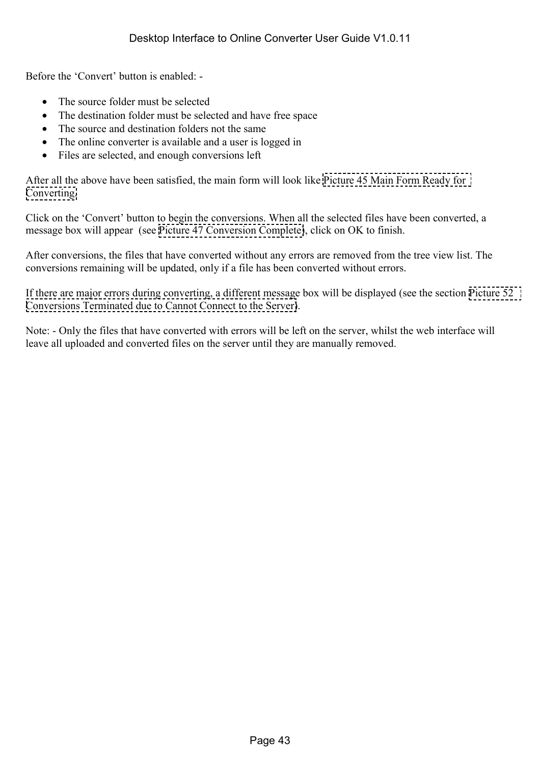Before the 'Convert' button is enabled: -

- The source folder must be selected
- The destination folder must be selected and have free space
- The source and destination folders not the same
- The online converter is available and a user is logged in
- Files are selected, and enough conversions left

After all the above have been satisfied, the main form will look like [Picture 45 Main Form Ready for](#page-43-0)  [Converting.](#page-43-0)

Click on the 'Convert' button to begin the conversions. When all the selected files have been converted, a message box will appear (see [Picture 47 Conversion Complete\)](#page-44-0), click on OK to finish.

After conversions, the files that have converted without any errors are removed from the tree view list. The conversions remaining will be updated, only if a file has been converted without errors.

If there are major errors during converting, a different message box will be displayed (see the section [Picture 52](#page-46-0)  [Conversions Terminated due to Cannot Connect to the Server\)](#page-46-0).

Note: - Only the files that have converted with errors will be left on the server, whilst the web interface will leave all uploaded and converted files on the server until they are manually removed.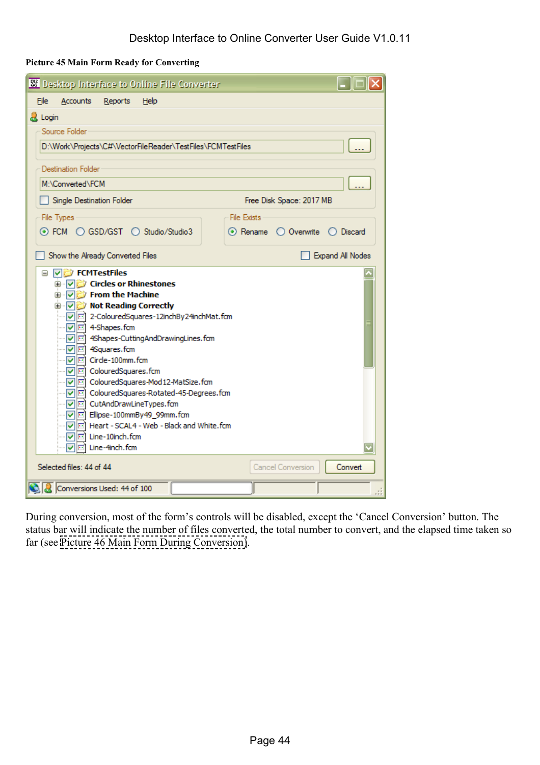<span id="page-43-0"></span>**Picture 45 Main Form Ready for Converting** 

| 88 Desktop Interface to Online File Converter                                                                                                                                                                                                                       |                                                     |
|---------------------------------------------------------------------------------------------------------------------------------------------------------------------------------------------------------------------------------------------------------------------|-----------------------------------------------------|
| Eile<br><b>Accounts</b><br>Reports<br>Help                                                                                                                                                                                                                          |                                                     |
| <b>A</b> Login                                                                                                                                                                                                                                                      |                                                     |
| Source Folder                                                                                                                                                                                                                                                       |                                                     |
| D:\Work\Projects\C#\VectorFileReader\TestFiles\FCMTestFiles                                                                                                                                                                                                         |                                                     |
| <b>Destination Folder</b>                                                                                                                                                                                                                                           |                                                     |
| M:\Converted\FCM                                                                                                                                                                                                                                                    |                                                     |
| Single Destination Folder                                                                                                                                                                                                                                           | Free Disk Space: 2017 MB                            |
| File Types                                                                                                                                                                                                                                                          | <b>File Exists</b>                                  |
| ⊙ FCM ○ GSD/GST ○ Studio/Studio3                                                                                                                                                                                                                                    | $\bigcirc$ Overwrite $\bigcirc$ Discard<br>⊙ Rename |
| Show the Already Converted Files                                                                                                                                                                                                                                    | Expand All Nodes                                    |
| <b>A</b> √ Circles or Rhinestones<br>ं √ि Not Reading Correctly<br> √  □ 2-ColouredSquares-12inchBy24inchMat.fcm<br><b>▽</b> 4-Shapes.fcm<br>□ 4Shapes-CuttingAndDrawingLines.fcm<br><b>▽</b><br>4Squares.fcm<br>□ Circle-100mm.fcm<br> √ ⊡ ColouredSquares.fcm<br> |                                                     |
| Selected files: 44 of 44                                                                                                                                                                                                                                            | Cancel Conversion<br>Convert                        |
| Conversions Used: 44 of 100                                                                                                                                                                                                                                         |                                                     |

During conversion, most of the form's controls will be disabled, except the 'Cancel Conversion' button. The status bar will indicate the number of files converted, the total number to convert, and the elapsed time taken so far (see [Picture 46 Main Form During Conversion\)](#page-44-0).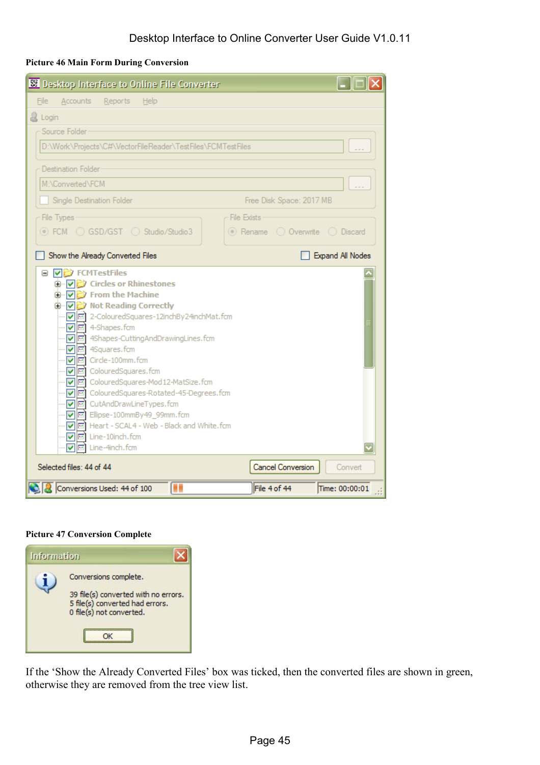#### <span id="page-44-0"></span>**Picture 46 Main Form During Conversion**

| <b>88</b> Desktop Interface to Online File Converter                                                                                                                                                                                                                                                                                                                                                                                                                                                                                                                                             |                                |
|--------------------------------------------------------------------------------------------------------------------------------------------------------------------------------------------------------------------------------------------------------------------------------------------------------------------------------------------------------------------------------------------------------------------------------------------------------------------------------------------------------------------------------------------------------------------------------------------------|--------------------------------|
| <b>Accounts</b><br>Reports<br>File<br>Help                                                                                                                                                                                                                                                                                                                                                                                                                                                                                                                                                       |                                |
| & Login                                                                                                                                                                                                                                                                                                                                                                                                                                                                                                                                                                                          |                                |
| Source Folder                                                                                                                                                                                                                                                                                                                                                                                                                                                                                                                                                                                    |                                |
| D:\Work\Projects\C#\VectorFileReader\TestFiles\FCMTestFiles                                                                                                                                                                                                                                                                                                                                                                                                                                                                                                                                      |                                |
| <b>Destination Folder</b>                                                                                                                                                                                                                                                                                                                                                                                                                                                                                                                                                                        |                                |
| M:\Converted\FCM                                                                                                                                                                                                                                                                                                                                                                                                                                                                                                                                                                                 |                                |
| Single Destination Folder                                                                                                                                                                                                                                                                                                                                                                                                                                                                                                                                                                        | Free Disk Space: 2017 MB       |
| <b>File Exists</b><br>File Types                                                                                                                                                                                                                                                                                                                                                                                                                                                                                                                                                                 |                                |
| © FCM  ○ GSD/GST   Studio/Studio3                                                                                                                                                                                                                                                                                                                                                                                                                                                                                                                                                                | ◎ Rename © Overwrite © Discard |
| Show the Already Converted Files                                                                                                                                                                                                                                                                                                                                                                                                                                                                                                                                                                 | Expand All Nodes               |
| <b>VE</b> FCMTestFiles<br>□ ▽ Circles or Rhinestones<br>□ ▽ From the Machine<br>□ √ vi Not Reading Correctly<br>☑ □ 2-ColouredSquares-12inchBy24inchMat.fcm<br>$\boxed{\triangleright}$ 4-Shapes.fcm<br>… v c 4Shapes-Cutting And Drawing Lines, fcm<br>····   미 4Squares.fcm<br>V <b>Im</b> Circle-100mm.fcm<br>☑ ColouredSquares.fcm<br>☑ colouredSquares-Mod12-MatSize.fcm<br>☑ colouredSquares-Rotated-45-Degrees.fcm<br>☑ cutAndDrawLineTypes.fcm<br>VII Ellipse-100mmBy49_99mm.fcm<br>□ Heart - SCAL4 - Web - Black and White.fcm<br><b>▽</b> Eine-10inch.fcm<br>V <b>I</b> Line-4inch.fcm |                                |
| Selected files: 44 of 44                                                                                                                                                                                                                                                                                                                                                                                                                                                                                                                                                                         | Cancel Conversion<br>Convert   |
| Conversions Used: 44 of 100<br>П<br>File 4 of 44                                                                                                                                                                                                                                                                                                                                                                                                                                                                                                                                                 | Time: 00:00:01                 |

#### **Picture 47 Conversion Complete**

| <b>Information</b> |                                                                                                                              |
|--------------------|------------------------------------------------------------------------------------------------------------------------------|
|                    | Conversions complete.<br>39 file(s) converted with no errors.<br>5 file(s) converted had errors.<br>0 file(s) not converted. |

If the 'Show the Already Converted Files' box was ticked, then the converted files are shown in green, otherwise they are removed from the tree view list.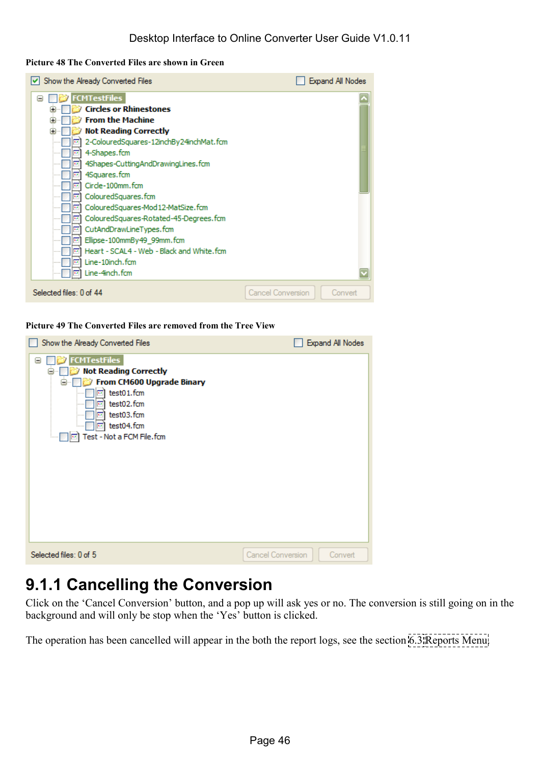#### <span id="page-45-0"></span>**Picture 48 The Converted Files are shown in Green**

| Show the Already Converted Files                 |                   | Expand All Nodes |
|--------------------------------------------------|-------------------|------------------|
| <b>FCMTestFiles</b><br>$\blacksquare$            |                   |                  |
| <b>Circles or Rhinestones</b><br>Œ               |                   |                  |
| <b>From the Machine</b><br>田                     |                   |                  |
| <b>Not Reading Correctly</b><br>Œ                |                   |                  |
| 2-ColouredSquares-12inchBy24inchMat.fcm          |                   |                  |
| 4-Shapes.fcm<br><b>COL</b>                       |                   |                  |
| 4Shapes-CuttingAndDrawingLines.fcm<br><b>Bar</b> |                   |                  |
| 4Squares.fcm<br><b>Bar</b>                       |                   |                  |
| Circle-100mm.fcm<br><b>Tax</b>                   |                   |                  |
| ColouredSquares.fcm<br><b>COL</b>                |                   |                  |
| ColouredSquares-Mod 12-MatSize.fcm<br>141        |                   |                  |
| ColouredSquares-Rotated-45-Degrees.fcm<br>пī     |                   |                  |
| CutAndDrawLineTypes.fcm<br><b>Bat</b>            |                   |                  |
| Ellipse-100mmBy49 99mm.fcm<br><b>GOL</b>         |                   |                  |
| Heart - SCAL4 - Web - Black and White, fcm<br>m  |                   |                  |
| Line-10inch.fcm<br><b>Bar</b>                    |                   |                  |
| Line-4inch.fcm                                   |                   |                  |
| Selected files: 0 of 44                          | Cancel Conversion | Convert          |

#### **Picture 49 The Converted Files are removed from the Tree View**

| Show the Already Converted Files                                                                                                                                                                                                                            |                          | Expand All Nodes |
|-------------------------------------------------------------------------------------------------------------------------------------------------------------------------------------------------------------------------------------------------------------|--------------------------|------------------|
| <b>FCMTestFiles</b><br>Θ<br><b>Not Reading Correctly</b><br>$\blacksquare$<br>From CM600 Upgrade Binary<br>$\sim v$<br>Θ<br>test01.fcm<br>m.<br>test02.fcm<br><b>Bar</b><br>test03.fcm<br>141<br>.<br>test04.fcm<br>Test - Not a FCM File.fcm<br><b>For</b> |                          |                  |
| Selected files: 0 of 5                                                                                                                                                                                                                                      | <b>Cancel Conversion</b> | Convert          |

### **9.1.1 Cancelling the Conversion**

Click on the 'Cancel Conversion' button, and a pop up will ask yes or no. The conversion is still going on in the background and will only be stop when the 'Yes' button is clicked.

The operation has been cancelled will appear in the both the report logs, see the section [6.3 Reports Menu.](#page-25-0)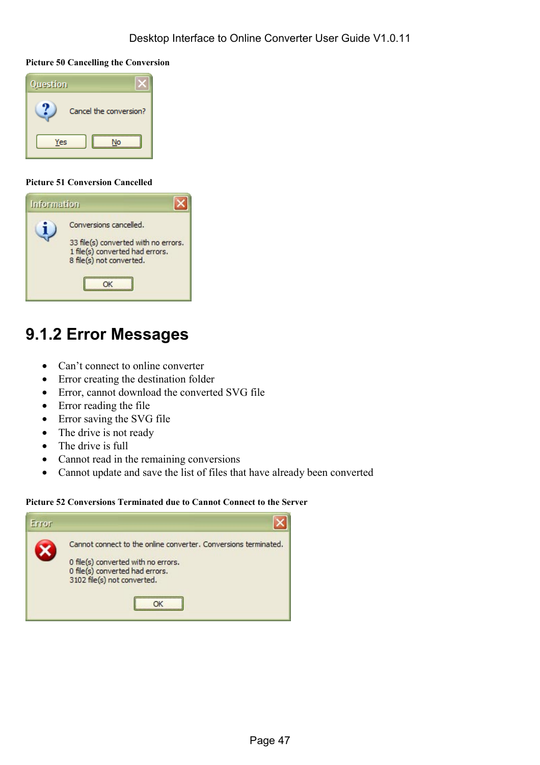#### <span id="page-46-0"></span>**Picture 50 Cancelling the Conversion**



#### **Picture 51 Conversion Cancelled**

| <b>Information</b> |                                                                                                                               |
|--------------------|-------------------------------------------------------------------------------------------------------------------------------|
|                    | Conversions cancelled.<br>33 file(s) converted with no errors.<br>1 file(s) converted had errors.<br>8 file(s) not converted. |

### **9.1.2 Error Messages**

- Can't connect to online converter
- Error creating the destination folder
- Error, cannot download the converted SVG file
- Error reading the file
- Error saving the SVG file
- The drive is not ready
- The drive is full
- Cannot read in the remaining conversions
- Cannot update and save the list of files that have already been converted

#### **Picture 52 Conversions Terminated due to Cannot Connect to the Server**

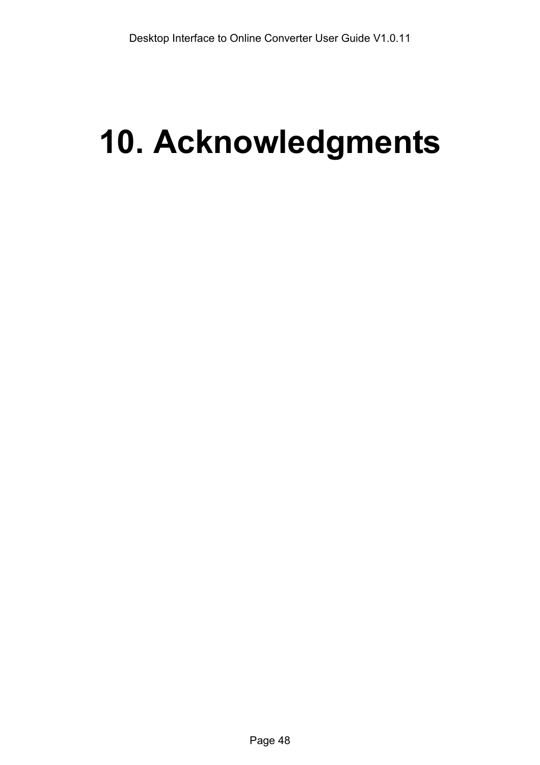# <span id="page-47-0"></span>**10. Acknowledgments**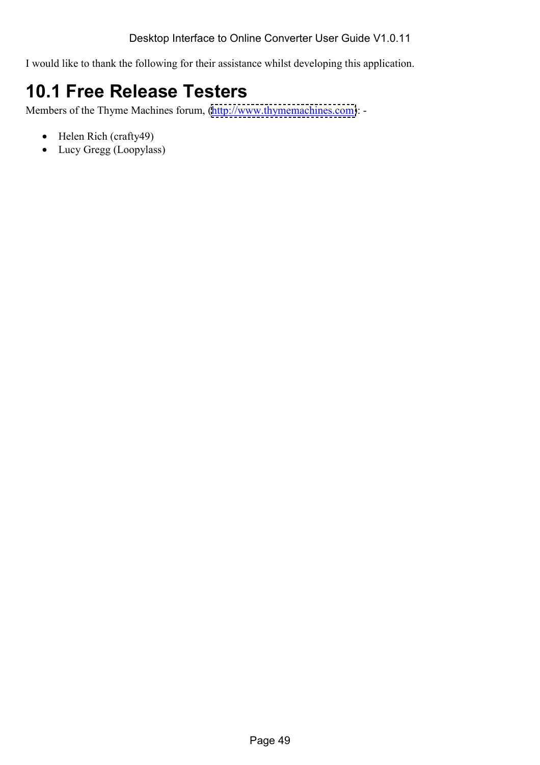<span id="page-48-0"></span>I would like to thank the following for their assistance whilst developing this application.

# **10.1 Free Release Testers**

Members of the Thyme Machines forum, [\(http://www.thymemachines.com\)](http://www.thymemachines.com/): -

- Helen Rich (crafty49)
- Lucy Gregg (Loopylass)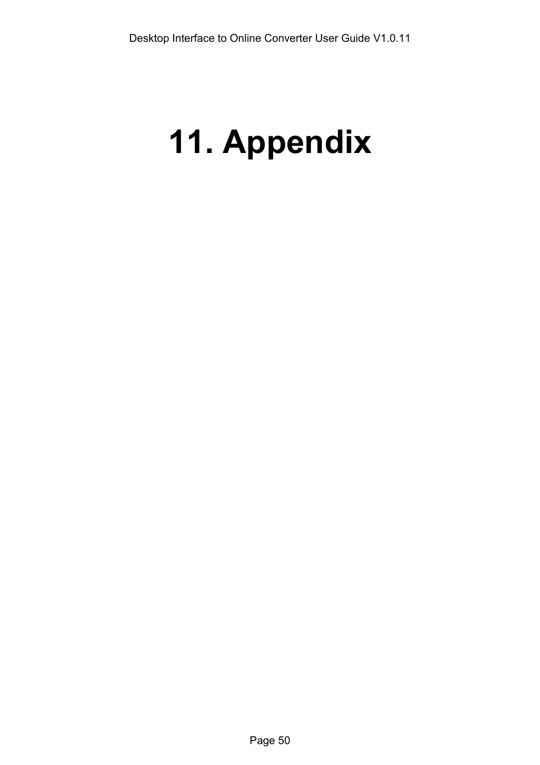# <span id="page-49-0"></span>**11. Appendix**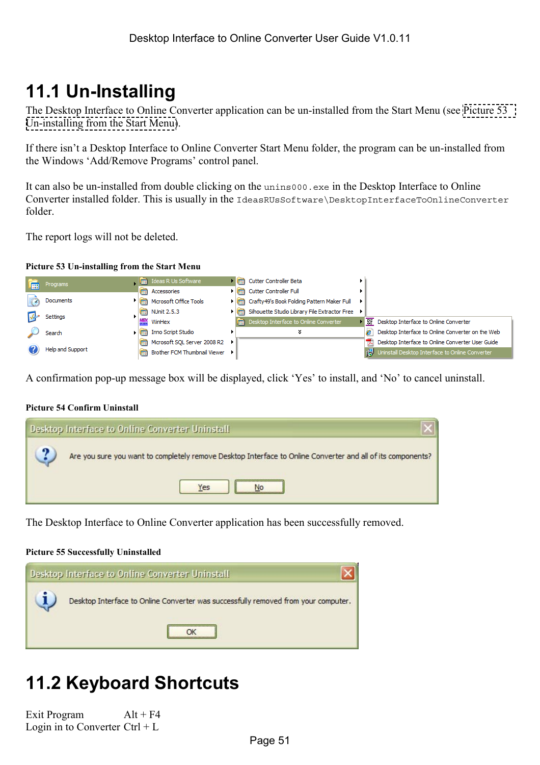# <span id="page-50-0"></span>**11.1 Un-Installing**

The Desktop Interface to Online Converter application can be un-installed from the Start Menu (see Picture 53 Un-installing from the Start Menu).

If there isn't a Desktop Interface to Online Converter Start Menu folder, the program can be un-installed from the Windows 'Add/Remove Programs' control panel.

It can also be un-installed from double clicking on the unins000.exe in the Desktop Interface to Online Converter installed folder. This is usually in the IdeasRUsSoftware\DesktopInterfaceToOnlineConverter folder.

The report logs will not be deleted.

#### **Picture 53 Un-installing from the Start Menu**



A confirmation pop-up message box will be displayed, click 'Yes' to install, and 'No' to cancel uninstall.

#### **Picture 54 Confirm Uninstall**

| <b>Desktop Interface to Online Converter Uninstall</b>                                                             |
|--------------------------------------------------------------------------------------------------------------------|
| Are you sure you want to completely remove Desktop Interface to Online Converter and all of its components?<br>Yes |

The Desktop Interface to Online Converter application has been successfully removed.

#### **Picture 55 Successfully Uninstalled**



# **11.2 Keyboard Shortcuts**

Exit Program Alt + F4 Login in to Converter  $Ctrl + L$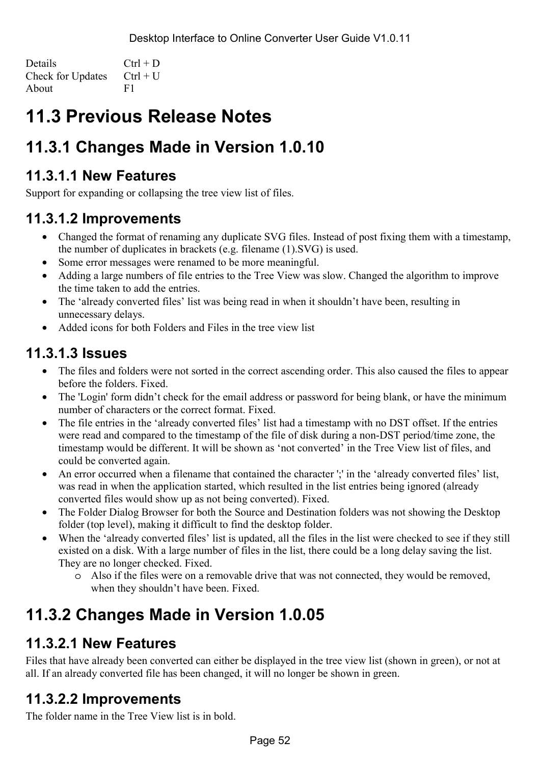<span id="page-51-0"></span>Details  $Ctrl + D$ Check for Updates  $Ctrl + U$ About F1

# **11.3 Previous Release Notes**

### **11.3.1 Changes Made in Version 1.0.10**

### **11.3.1.1 New Features**

Support for expanding or collapsing the tree view list of files.

### **11.3.1.2 Improvements**

- Changed the format of renaming any duplicate SVG files. Instead of post fixing them with a timestamp, the number of duplicates in brackets (e.g. filename (1).SVG) is used.
- Some error messages were renamed to be more meaningful.
- Adding a large numbers of file entries to the Tree View was slow. Changed the algorithm to improve the time taken to add the entries.
- The 'already converted files' list was being read in when it shouldn't have been, resulting in unnecessary delays.
- Added icons for both Folders and Files in the tree view list

### **11.3.1.3 Issues**

- The files and folders were not sorted in the correct ascending order. This also caused the files to appear before the folders. Fixed.
- The 'Login' form didn't check for the email address or password for being blank, or have the minimum number of characters or the correct format. Fixed.
- The file entries in the 'already converted files' list had a timestamp with no DST offset. If the entries were read and compared to the timestamp of the file of disk during a non-DST period/time zone, the timestamp would be different. It will be shown as 'not converted' in the Tree View list of files, and could be converted again.
- An error occurred when a filename that contained the character ';' in the 'already converted files' list, was read in when the application started, which resulted in the list entries being ignored (already converted files would show up as not being converted). Fixed.
- The Folder Dialog Browser for both the Source and Destination folders was not showing the Desktop folder (top level), making it difficult to find the desktop folder.
- When the 'already converted files' list is updated, all the files in the list were checked to see if they still existed on a disk. With a large number of files in the list, there could be a long delay saving the list. They are no longer checked. Fixed.
	- o Also if the files were on a removable drive that was not connected, they would be removed, when they shouldn't have been. Fixed.

## **11.3.2 Changes Made in Version 1.0.05**

### **11.3.2.1 New Features**

Files that have already been converted can either be displayed in the tree view list (shown in green), or not at all. If an already converted file has been changed, it will no longer be shown in green.

### **11.3.2.2 Improvements**

The folder name in the Tree View list is in bold.